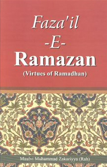

 $-E-$ 

# **Ramazan** (Virtues of Ramadhan)

Maulvi Muhammad Zakariyya (Rah)

and a street of the state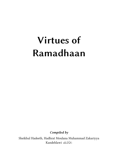# **Virtues of Ramadhaan**

*Compiled by*

Sheikhul Hadeeth, Hadhrat Moulana Muhammad Zakariyya Kandehlawi دَحْمَةُاللَّهِ عَلَيْهِ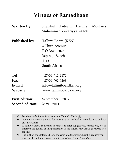# **Virtues of Ramadhaan**

| <b>Written By:</b>                       | Sheikhul Hadeeth, Hadhrat Moulana<br>Muhammad Zakariyya                                          |
|------------------------------------------|--------------------------------------------------------------------------------------------------|
| Published by:                            | Ta'limi Board (KZN)<br>4 Third Avenue<br>P.O.Box 26024<br>Isipingo Beach<br>4115<br>South Africa |
| Tel:                                     | $+27-319122172$                                                                                  |
| Fax:                                     | $+27-319029268$                                                                                  |
| E-mail:                                  | info@talimiboardkzn.org                                                                          |
| Website:                                 | www.talimiboardkzn.org                                                                           |
| <b>First edition:</b><br>Second edition: | September 2007<br>May 2011                                                                       |

For the *esaale thawaab* of the entire *Ummah* of Nabi  $\frac{26}{36}$ .<br>
Onen permission is granted for reprinting of this booklet

 Open permission is granted for reprinting of this booklet provided it is without any alterations.

 A humble appeal is directed to readers to offer suggestions, corrections, etc. to improve the quality of this publication in the future. May Allah  $\frac{1}{100}$  reward you for this.

 The author, translators, editors, sponsors and typesetters humbly request your *dua*s for them, their parents, families, *Mashaaikh* and *Asaatidha.*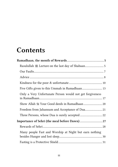# **Contents**

| Only a Very Unfortunate Person would not get forgiveness |
|----------------------------------------------------------|
|                                                          |
|                                                          |
|                                                          |
|                                                          |
|                                                          |
| Many people Fast and Worship at Night but earn nothing   |
|                                                          |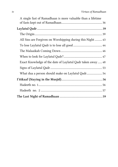| A single fast of Ramadhaan is more valuable than a lifetime |  |
|-------------------------------------------------------------|--|
|                                                             |  |
|                                                             |  |
|                                                             |  |
| All Sins are Forgiven on Worshipping during this Night43    |  |
|                                                             |  |
|                                                             |  |
|                                                             |  |
| Exact Knowledge of the date of Laylatul Qadr taken away 48  |  |
|                                                             |  |
| What dua a person should make on Laylatul Qadr 54           |  |
|                                                             |  |
|                                                             |  |
|                                                             |  |
|                                                             |  |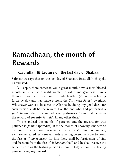# **Ramadhaan, the month of Rewards**

#### **Rasulullah ﷺ Lecture on the last day of Shabaan**

Salmaan  $\triangleq$  says that on the last day of Shabaan, Rasulullah  $\triangleq$  spoke us and said:

"O People, there comes to you a great month now, a most blessed month, in which is a night greater in value and goodness than a thousand months. It is a month in which Allah  $\frac{1}{100}$  has made fasting fardh by day and has made *sunnah* the *Taraweeh Salaah* by night. Whosoever wants to be close to Allah  $\mathcal{H}$  by doing any good deed, for such person shall be the reward like the one who had performed a *fardh* in any other time and whoever performs a *fardh*, shall be given the reward of **seventy** *faraaidh* in any other time."

 This is indeed the month of patience and the reward for true patience is *Jannah* (paradise). It is the month of showing kindness to everyone. It is the month in which a true believer's *rizq* (food, money, etc.) are increased. Whosoever feeds a fasting person in order to break the fast at *iftaar* (sunset), for him there shall be forgiveness of sins and freedom from the fire of *Jahannam* (hell) and he shall receive the same reward as the fasting person (whom he fed) without the fasting person losing any reward.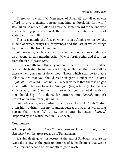Thereupon we said, 'O Messenger of Allah , not all of us can afford to give a fasting person something to break his fast with.' Rasulullah  $\mathcal{E}$  replied, 'Allah  $\mathcal{E}$  gives the same reward to the one who gives a fasting person to break the fast, just one date or a drink of water or a sip of milk.'

This is a month, the first of which brings Allah's mercy, the middle of which brings His forgiveness and the last of which brings freedom from the fire of *Jahannam.*

Whosoever gives less work to his servants or workers (who are also fasting in this month), Allah  $\mathcal{H}$  will forgive him and free him from the fire of *Jahannam*.

In this month four things you should perform in great number, two of which shall be to please Allah , while the other two shall be those which you cannot do without. Those which shall be to please Allah  $\ddot{\mathcal{L}}$ , are that you should recite in great number the *Kalimah Tayibbah - Laa ilaaha illallah* (i.e. To bear witness that there is no god except Allah (i) and to recite *istighfaar* (beg Allah's  $\frac{1}{20}$  forgiveness with *astaghfirullah*) and as for those which you cannot do without, you should beg of Allah  $\frac{1}{2}$  for entrance into *Jannah* and ask protection in Him from *Jahannam*.

And whoever gives a fasting person water to drink, Allah  $\frac{1}{100}$  shall grant him to drink from my fountain, such a drink, after which that person shall never feel thirsty again until he enters *Jannah*." (Reported by Ibn Khuzaimah in his 'Saheeh'.)

#### **Commentry:**

All the points in this *Hadeeth* have been explained in many other *Ahaadeeth* on the great rewards of Ramadhaan.

Rasulullah j gave this lecture at the end of Shabaan, because he wanted to show us the great importance of Ramadhaan so that we do not allow one second of this month to go to waste.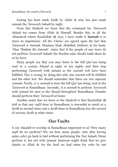Fasting has been made fardh by Allah  $\mathbb R$  who has also made sunnah the *Taraweeh Salaah* by night.

From this *Hadeeth* we learn that the command for *Taraweeh Salaah* too comes from Allah **K** Himself. Besides this, in all the *Ahaadeeth* where Rasulullah  $\mathcal{L}$  says, I have made it **Sunnah** is to stress its importance. All the *Ulama'* are agreed upon the fact that *Taraweeh* is *Sunnah*. Moulana Shah Abdullah Dehlawi in his book, '*Maa Thabata Bis Sunnah',* states that if the people of any town do not perform *Taraweeh Salaah*, the Muslim ruler should make them do so by force.

Many people say that you may listen to the full Qur'aan being read in a certain *Musjid* in eight or ten nights and then stop performing *Taraweeh* with *jamaat* as the *sunnah* will have been fulfilled. This is wrong, by doing this only one *sunnah* will be fulfilled and the other lost. We should remember that there are two separate *sunnats*. Firstly, it is *sunnah* to hear the full Qur'aan being read in the *Taraweeh* in Ramadhaan. Secondly, it is *sunnah* to perform *Taraweeh*  with *jamaat* for men in the *Musjid* throughout Ramadhaan. Females should perform their *Taraweeh* at home.

Another point that we learn in the *Hadeeth* is that Rasulullah j told us that any *nafil* done in Ramadhaan is rewarded as much as a *fardh* in normal times and a *fardh* done in Ramadhaan has the reward of seventy *fardh* at other times.

#### **Our Faults**

Is our *ibaadah* or worship in Ramadhaan important to us? How many *nafil* do we perform? We see how many people, who after having eaten *sehri*, go back to bed without performing the *Fajr Salaah*. Many perform it, but not with *jamaat*. Someone might think that we give thanks to Allah for the food we had eaten for *sehri* by not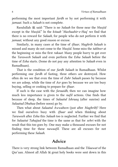performing the most important *fardh* or by not performing it with *jamaat*. Such a *Salaah* is not complete.

Rasulullah  $\mathcal{L}$  said: "There is no *Salaah* for those near the *Musjid* except in the *Musjid*." In the *kitaab* '*Mazhaahir-e-Haq*' we find that there is no reward for *Salaah*, for people who do not perform it with *jamaat*, without any good reason or excuse.

Similarly, in many cases at the time of *iftaar*, *Maghrib Salaah* is missed and many do not come to the *Musjid*. Some miss the *takbeer* at the beginning or miss the first *rakaat*. Many people hurry to get over the *Taraweeh Salaah* and even perform the *Esha Salaah* before the time of *Esha* starts. (Some do not pay any attention to *Salaah* even in Ramadhaan).

That is the condition of our *fardh Salaah* in Ramadhaan. Whilst performing one *fardh* of fasting, three others are destroyed. How often do we see that even the time of *Zuhr Salaah* passes by because we are asleep, while the time of *Asr* goes by because we are too busy buying, selling or cooking to prepare for *iftaar*.

If such is the case with the *faraaidh*, then we can imagine how much less importance is given to the *nafil* actions. One finds that because of sleep, the times of *Salaatul Ishraaq* (after sunrise) and *Salaatud Dhuhaa* (before noon) go by.

Then what about *Salaatul Awwabeen* (just after *Maghrib*)? Here we find ourselves busy with *iftaar* and when thinking about *Taraweeh* after *Esha* this *Salaah* too is neglected. Further we find that for *Salaatut Tahajjud* the time is the same as that for *sehri* with the result that this too goes by. One may make a thousand excuses for not finding time for these *nawaafil*. These are all excuses for not performing these *Salaah*.

## **Advice**

There is very strong link between Ramadhaan and the *Tilaawat* of the Qur'aan. Almost all Allah great holy books were sent down in this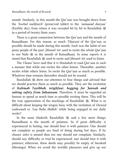month. Similarly, in this month the Qur'aan was brought down from the *'lowhul mahfoozh'* (preserved tablet) to the *'samaaud dunyaa'* (Earthly sky), from where it was revealed bit by bit to Rasulullah  $\frac{1}{25}$ in a period of twenty three years.

There is a great connection between the Qur'aan and the month of Ramadhaan. For this reason, as much *Tilaawat* of the Qur'aan as possible should be made during this month. Such was the habit of our pious people of the past. Jibraeel <a>used to recite the whole Qur'aan to our Nabi ﷺ in the month of Ramadhaan. In some reports it is stated that Rasulullah  $\frac{1}{25}$  used to recite and Jibraeel  $\frac{1}{25}$  used to listen.

The *Ulama'* have said that it is Mustahab to read Qur'aan in such a manner that while one recites the other listens. Thereafter, another recites while others listen. So recite the Qur'aan as much as possible. Whatever time remains thereafter should not be wasted.

Rasulullah  $\frac{1}{25}$  drew our attention to four things and advised that we should practice them as much as possible. They are the recitation of *Kalimah Tayibbah, istighfaar, begging for Jannah and asking safety from Jahannam*. Therefore, it must be regarded an honour to spend as much time as possible reciting these. This will be the true appreciation of the teachings of Rasulullah  $\ddot{\mathscr{E}}$ . What is so difficult about keeping the tongue busy with the recitation of *Durood* (*salawaat*) or *'Laa Ilaha illallah'* while being engaged in our daily works?

In the same *Hadeeth*, Rasulullah  $\frac{100}{25}$  said a few more things; Ramadhaan is the month of patience. So if great difficulty is experienced in fasting, one should bear it with patience. One should not complain as people are fond of doing during hot days. If by chance *sehri* is missed then too one should not complain. Similarly, should any difficulty or trial be experienced, one should bear it with patience; otherwise, these deeds may possibly be empty of *barakah* (blessings). When we avoid the worldly pleasures and give up our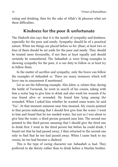eating and drinking, then for the sake of Allah's  $\mathcal{F}$  pleasure what are these difficulties.

#### **Kindness for the poor & unfortunate**

The *Hadeeth* also says that it is the month of sympathy and kindness, especially for the poor and needy. Sympathy should be of a practical nature. When ten things are placed before us for *iftaar*, at least two or four of them should be set aside for the poor and needy. They should be treated more favourably, if not then at least equally and should certainly be remembered. The *Sahaabah* were living examples in showing sympathy for the poor, it is our duty to follow or at least try to follow them.

In the matter of sacrifice and sympathy, only the brave can follow the examples of *Sahaabah*  $\triangleq$ . There are many instances which will leave one in amazement if mentioned.

Let us see the following example, Abu Jahm  $\triangleq$  relates that, during the battle of Yarmouk, he went in search of his cousin, taking with him a water bag to give him to drink and also wash his wounds if he was found alive or wounded. He found him lying among the wounded. When I asked him whether he wanted some water, he said 'Yes'. At that moment someone near him moaned. My cousin pointed to that person indicating that I should first give him the water. I went to him and found that he too needed water, but just as I was about to give him the water, a third person groaned near him. The second one pointed to this third person meaning that I should give the third one to drink first. I went to the third person but before he could drink, I found out that he had passed away, I then returned to the second one only to find that he too had passed away. When I came back to my cousin, he too had become a *shaheed*.

This is the type of caring character our *Sahaabah*  $\triangleq$  had. They preferred to die thirsty rather than to drink before a Muslim brother.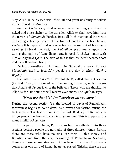May Allah  $\mathcal{H}$  be pleased with them all and grant us ability to follow in their footsteps. *Aameen*

Another *Hadeeth* says that whoever feeds the hungry, clothes the naked and gives shelter to the traveller, Allah  $\mathcal{H}$  shall save him from the terrors of *Qiyaamah*. Further, Rasulullah  $\frac{1}{25}$  mentioned the virtue of feeding a fasting person at the time of breaking the fast. In one *Hadeeth* it is reported that one who feeds a person out of his *Halaal* earnings to break the fast, the *Malaaikah* grant mercy upon him during the nights of Ramadhaan, and Jibraeel 選 shakes hands with him on *Laylatul Qadr*. The sign of this is that his heart becomes soft and tears flow from his eyes.

During Ramadhaan, Hammad bin Salamah, a very famous *Muhaddith*, used to feed fifty people every day at *iftaar*. *(Roohul Bayan)*

Thereafter, the *Hadeeth* of Rasulullah  $\frac{100}{100}$  called the first section (i.e. first 10 days) of Ramadhaan the coming of mercy, which means that Allah's favour is with the believers. Those who are thankful to Allah  $\frac{1}{2}$  for His bounties will receive even more. The Qur'aan says:

#### *"If you are thankful, I will surely grant you more."*

During the second section (i.e. the second 10 days) of Ramadhaan, forgiveness begins to come down as a reward for fasting during the first section. The last section (i.e. the last 10 days) of Ramadhaan brings protection from entrance into *Jahannam*. This is supported by many similar *Ahaadeeth*.

In my personal opinion, Ramadhaan has been divided into three sections because people are normally of three different kinds. Firstly, there are those who have no sins. For them Allah's mercy and Bounties come from the very beginning of Ramadhaan. Secondly, there are those whose sins are not too heavy, for them forgiveness comes after one third of Ramadhaan has passed. Thirdly, there are the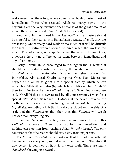real sinners. For them forgiveness comes after having fasted most of Ramadhaan. Those who received Allah  $\frac{100}{100}$  mercy right at the beginning are the very fortunate ones because of the great amount of mercy they have received. (And Allah  $\mathbb K$  knows best).

Another point mentioned in the *Ahaadeeth* is that masters should be merciful to their servants in Ramadhaan because, after all, they too are fasting. Unnecessary hard work or too much of it will be difficult for them. An extra worker should be hired when the work is too much. That of course, only applies when the servant himself fasts; otherwise there is no difference for them between Ramadhaan and any other month.

Lastly, Rasulullah  $\frac{1}{25}$  encouraged four things in the *Hadeeth* that should be repeated constantly. Firstly, the recitation of *Kalimah Tayyibah*, which in the *Ahaadeeth* is called the highest form of *zikr*. In Mishkat, Abu Saeed Khudri  $\triangleq$  reports: Once Nabi Moosa begged of Allah to grant him a special *zikr* by which he can remember Allah  $\mathcal{H}$  and also (by which he could) ask Him. Allah  $\mathcal{H}$ then told him to recite the *Kalimah Tayyibah*. Sayyidina Moosa said, "O Allah! this is a *zikr* recited by all your servants, I wish for a special *zikr*." Allah  $\frac{1}{2}$  replied, "O Moosa, if the seven heavens, the earth and all its occupants including the *Malaaikah* but excluding Myself (i.e. excluding Allah Himself) are placed on one side of a scale and this *Kalimah* on the other, then this *Kalimah* will weigh heavier than everything else.

In another *Hadeeth* it is stated, Should anyone sincerely recite this *Kalimah*, the doors of *Jannah* open up for him immediately and nothing can stop him from reaching Allah *arsh* (throne). The only condition is that the reciter should stay away from major sins.

The *Kalimah Tayyibah* is the most excellent form of *zikr*. Allah has made it for everybody, so that none is deprived of it. Therefore, if any person is deprived of it, it is his own fault. There are many *Ahaadeeth* showing its rewards.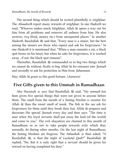The second thing which should be recited plentifully is *istighfaar*. The *Ahaadeeth* report many rewards of *istighfaar*. In one *Hadeeth* we read, "Whoever makes much *Istighfaar*, Allah  $\frac{m}{n}$  opens a way out for him from all problems and removes all sadness from him. He also receives *rizq* (food, money etc.) from unexpected places." In another *Hadeeth*, Rasulullah  $\frac{100}{25}$  said that, "Every man is a sinner, but the best among the sinners are those who repent and ask for forgiveness." In one *Hadeeth* it is mentioned that, "When a man commits a sin, a black spot forms on his heart, but when he asks for forgiveness, it is washed away , if not, the black spot remains".

Thereafter, Rasulullah  $\mathcal{L}$  commanded us to beg two things which we cannot do without, firstly to beg Allah  $\frac{m}{m}$  for entrance into *Jannah* and secondly to ask for protection in Him from *Jahannam*.

May Allah grant us this good fortune. (*Aameen)*

#### **Five Gifts given to this Ummah in Ramadhaan**

Abu Hurairah  $\triangleq$  says that Rasulullah  $\triangleq$  said, "My *ummah* has been given five special things that were not given to anyone before them. The smell from the mouth of a fasting Muslim is sweeter for Allah  $\mathbb{R}$  than the sweet smell of musk. The fish in the sea ask for forgiveness for them until they break their fast. Allah  $\frac{100}{100}$  prepares and decorates His special *Jannah* every day and then says: "The time is near when My loyal servants shall put away the load (of the world) and come to you." The evil *shayateen* are chained in this month of Ramadhaan so as not to take people towards evils which they normally do during other months. On the last night of Ramadhaan, the fasting Muslims are forgiven. The *Sahaabah*  $\triangleq$  then asked, "O Rasulullah  $\ddot{\mathfrak{B}}$ , is that the night of *Laylatul Qadr*?" Rasulullah  $\ddot{\mathfrak{B}}$ replied, "No, But it is only right that a servant should be given his reward on having completed his duty."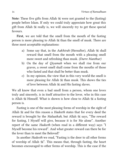**Note:** These five gifts from Allah were not granted to the (fasting) people before Islam. If only we could truly appreciate how great this gift from Allah  $\mathcal{L}$  really is, we will sincerely try to get these special favours.

**First,** we are told that the smell from the mouth of the fasting person is more pleasing to Allah  $\frac{1}{100}$  than the smell of musk. There are three most acceptable explanations:

- a) Some say that, in the *Aakhirah* (Hereafter), Allah is shall reward that smell from the mouth with a pleasing smell more sweet and refreshing than musk. *(Durre Manthur)*
- b) On the day of *Qiyamah* when we shall rise from our graves, a sweet smell shall come from the mouths of those who fasted and that shall be better than musk.
- c) In my opinion, the view that in this very world the smell is more pleasing for Allah  $\mathcal K$  than musk. This shows the ties of love between Allah  $\mathcal{H}$  and His fasting slaves.

We all know that even a bad smell from a person, whom one loves truly and sincerely, is in itself attractive to the lover, who in this case is Allah  $\mathcal G$  Himself. What is shown is how close to Allah  $\mathcal G$  a fasting person is.

Fasting is one of the most pleasing forms of worship in the sight of Allah  $\mathcal{H}$  and for this reason a *Hadeeth* states that for every deed the reward is brought by the *Malaaikah*, but Allah  $\frac{1}{1000}$  says, "The reward for fasting, I Myself will give, because it is for Me alone". Another report of the same *Hadeeth* (when read in a different way) says "I Myself become his reward". And what greater reward can there be for the lover than to meet the Beloved?

In another *Hadeeth* we read, "Fasting is the door to all other forms of worship of Allah  $\mathcal{L}$ . This means that, through fasting, the heart becomes encouraged to other forms of worship. This is the case if the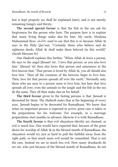fast is kept properly (as shall be explained later), and is not merely remaining hungry and thirsty.

**The second special favour** is that the fish in the sea ask for forgiveness for the person who fasts. The purpose here is to explain that many living things make *dua* for him. My uncle, Moulana Muhammad Ilyas وَحَمَّةُ اللَّهِ عَلَيْهِ Whammad Ilyas دَعْمَةُ اللَّهُ عَلَيْهِ says in the Holy Qur'aan, "Certainly those who believe and do righteous deeds, Allah  $\frac{1}{2}$  shall make them beloved (in this world)" *(Surah Maryam 96)*

One *Hadeeth* explains this further, "When Allah  $\frac{1}{100}$  loves a person, He says to the angel Jibraeel , 'I love that person, so you also love him.' Jibraeel <a><a><a>l</a> then also loves that person and announces in the first heaven that, 'That person is loved by Allah , you all should also love him.' Then all the creations of the heavens begin to love him. Then, love for that person spreads all over the earth." Normally only those who are near to a person seem to love him, but here that love spreads all over, even the animals in the jungle and the fish in the sea do the same. They all then make *dua* on his behalf.

**The third favour** given to the fasting persons is that *Jannah* is decorated for them. The *Hadeeth* states that at the beginning of every year, *Jannah* begins to be decorated for Ramadhaan. We know that when an important person is expected to arrive, great care is taken in the preparations for his welcome. For example, in a marriage preparations start months in advance, likewise it is with Ramadhaan.

**The fourth favour** is that evil *shayateen* (devils) are chained, so evil is much less. One would have expected that, because of the great desire for worship of Allah  $\mathcal G$  in the blessed month of Ramadhaan, the *shayateen* would try just as hard to pull the faithful away from the right path, so that much more evil would be committed. That is not the case. Instead we see so much less evil. How many drunkards do we see, who just because of the blessed month of Ramadhaan, do not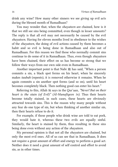drink any wine? How many other sinners we see giving up evil acts during the blessed month of Ramadhaan?

You may wonder that, when the *shayateen* are chained, how is it that we still see sins being committed, even though in lesser amounts? The reply is that all evil may not necessarily be caused by the evil *shayateen*. Having for eleven months lived in obedience to the wishes of the *shayateen*, the doing of evil actions caused by them becomes a habit and so evil is being done in Ramadhaan and also out of Ramadhaan. For this reason we find those who normally commit sins continue to do some of it in Ramadhaan. Thus, even though *shayateen* have been chained, their effect on us has become so strong that we follow their ways from our own side even in Ramadhaan.

Another important point is that Nabi  $\frac{1}{25}$  has said, "When a person commits a sin, a black spot forms on his heart, when he sincerely makes *taubah* (repents), it is removed otherwise it remains. When he again commits a sin another spot forms (and so on), until his heart becomes completely black. Then nothing good can enter his heart."

Referring to this, Allah  $\frac{1}{100}$  says in the Qur'aan, "Never! But on their *heart is the stain (of Evil)" (Al-Munafiqeen 14)*. Thus their hearts become totally stained, in such cases, these hearts are obviously attracted towards sins. This is the reason why many people without any fear do one type of sin, but when thinking of another similar sin, then their hearts refuse to do it.

For example, if those people who drink wine are told to eat pork, they would hate it, whereas these two evils are equally sinful. Similarly, the heart is stained by them, thus resulting in these sins being done even without any action of the *shayateen*.

My personal opinion is that not all the *shayateen* are chained, but only the most evil ones. All of us can see that in Ramadhaan, It does not require a great amount of effort and energy to perform a good act. Neither does it need a great amount of self control and effort to avoid sin, as in other times.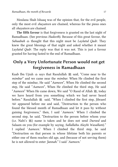Moulana Shah Ishaaq was of the opinion that, for the evil people, only the most evil *shayateen* are chained, whereas for the pious ones all *shayateen* are chained.

**The fifth favour** is that forgiveness is granted on the last night of Ramadhaan. (See previous *Hadeeth*). Because of this great favour, the *Sahaabah* thought that this night must be *Laylatul Qadr*. They knew the great blessings of that night and asked whether it meant *Laylatul Qadr*. The reply was that it was not. This is just a favour granted for having fasted to the end of Ramadhaan.

# **Only a Very Unfortunate Person would not get forgiveness in Ramadhaan**

Kaab Ibn Ujrah  $\&$  says that Rasulullah  $\&$  said, "Come near to the *mimbar*" and we came near the *mimbar*. When He climbed the first step of the mimbar, He said "*Aameen*", When He climbed the second step, He said "*Aameen*", When He climbed the third step, He said "Aameen" When He came down, We said "O Rasul of Allah  $\frac{1}{25}$ , today we have heard from you something which we had never heard before." Rasulullah ﷺ said, "When I climbed the first step, Jibraeel appeared before me and said, "Destruction to the person who found the blessed month of Ramadhaan and let it pass by without gaining forgiveness," then, I said '*Aameen*.' When I climbed the second step, he said, "Destruction to the person before whom your (i.e. Nabi's j) name is taken and he does not send *Durood* and Salaam on you (for example by saying, *Sallallahu Alayhi Wasallam*)." I replied '*Aameen*.' When I climbed the third step, he said "Destruction on that person in whose lifetime both his parents or either one of them reaches old age, and (because of not serving them) he is not allowed to enter *Jannah*." I said '*Aameen*.'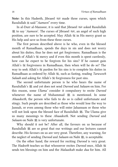**Note:** In this Hadeeth, Jibraeel made three curses, upon which Rasulullah  $\frac{1}{28}$  said "*Aameen*" every time.

In al-Durr al-Mansoor, it is said that Jibraeel  $\mathbb{Z}$  asked Rasulullah **選 to say '***Aameen***'**. The curses of Jibraeel ﷺ, an angel of such high position, are sure to be accepted. May Allah  $\frac{m}{m}$  in His mercy grant us His help and save us from these three curses.

The first person described above is he who, even in the blessed month of Ramadhaan, spends the days in sin and does not worry about his duties, thus he does not get forgiveness. Ramadhaan is the month of Allah's mercy and if even this month is spent carelessly, how can he expect to be forgiven for his sins? If he cannot gain Allah's forgiveness in Ramadhaan, then when will he do so? The way to seek Allah's  $\frac{100}{100}$  pardon for his sins is to complete his duties in Ramadhaan as ordered by Allah , such as fasting, reading *Taraweeh Salaah* and asking for Allah's forgiveness for past sins.

The second unfortunate person is he who hears the name of Rasulullah's ﷺ and yet does not send *Durood* and *Salaam* on him. For this reason, some *Ulama'* consider it compulsory to recite *Durood* whenever the name of Muhammad  $\frac{160}{125}$  is mentioned. In some *Ahaadeeth*, the person who fails to do so is called unfortunate and stingy. Such people are described as those who would lose the way to Jannah, or even among those who will enter Jahannam or those who will not look upon the blessed face of Rasulullah 選. The Ulama give us many meanings to these *Ahaadeeth*. Not sending *Durood* and *Salaam* on Nabi  $\frac{1}{2}$  is very unfortunate.

Why should it not be? After all, the favours on us because of Rasulullah  $\frac{160}{25}$  are so great that our writings and our lectures cannot describe. His favours on us are very great. Therefore, any warning, for the neglect of sending *Durood* and *Salaam* on Nabi  $\frac{36}{25}$ , is acceptable.

On the other hand, the reward for reciting *Durood* is very great. The *Hadeeth* teaches us that whosoever recites *Durood* once, Allah sends ten blessings on him and the *Malaaikah* make *dua* for him. All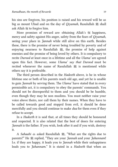his sins are forgiven, his position is raised and his reward will be as big as mount Uhud and on the day of *Qiyamah*, Rasulullah 選 shall ask Allah  $\ddot{\text{m}}$  to forgive him.

More promises of reward are: obtaining Allah's  $\frac{1}{2}$  happiness, mercy and safety against His anger, safety from the fears of *Qiyamah*, seeing your place in *Jannah* while still alive on this earth. Besides these, there is the promise of never being troubled by poverty and of enjoying nearness to Rasulullah  $\ddot{\mathfrak{g}}$ , the promise of help against enemies and the promise of being loved by others. It is compulsory to recite *Durood* at least once in a lifetime and all the *Ulama'* are agreed upon this fact. However, some *Ulama' say that Durood* must be recited whenever the name of Rasulullah 2 is mentioned while others say it is preferable.

The third person described in the *Hadeeth* above, is he in whose lifetime one or both of his parents reach old age, and yet he is unable to gain *Jannah* by serving them. The *Ulama'* have stated that in every permissible act, it is compulsory to obey the parents' commands. You should not be disrespectful to them and you should be be humble, even though they may be non muslims. You must neither raise your voice above theirs, nor call them by their names. When they have to be called towards good and stopprd from evil, it should be done mercifully and you should continue to make *dua* for them even if they refuse to accept.

In a *Hadeeth* it is said that, at all times they should be honoured and respected. It is also related that the best of doors for entering *Jannah* is the father. If you wish, look after it and if you wish, destroy it.

A *Sahaabi*  $*$  asked Rasulullah  $*$ , "What are the rights due to parents?" He *5* replied, "They are your *Jannah* and your *Jahannam*! I.e. if they are happy, it leads you to *Jannah* while their unhappiness leads you to *Jahannam*." It is stated in a *Hadeeth* that when an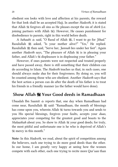obedient son looks with love and affection at his parents, the reward for that look shall be an accepted Hajj. In another *Hadeeth*, it is stated that Allah  $\mathcal G$  forgives all sins as He pleases except the sin of *shirk* (i.e. joining partners with Allah (a). However, He causes punishment for disobedience to parents, right in this world before death.

A *Sahaabi*  $\triangleq$  said, "O Rasul of Allah  $\triangleq$ , I want to go for *Jihad*." Rasulullah  $*$  asked, "Is your mother alive?" "Yes," He replied. Rasulullah  $\mathcal{L}$  then said, "Serve her, *Jannah* lies under her feet". Again another *Hadeeth* says, "The pleasure of Allah  $\frac{1}{2}$  is in pleasing your father, and Allah's  $\mathcal{H}$  displeasure is in displeasing your father."

However, if ones parents were not respected and treated properly and have passed away, there is still something that their children can do according to Islam. The *Hadeeth* teaches us that, in such cases, one should always make *dua* for their forgiveness. By doing so, you will be counted among those who are obedient. Another *Hadeeth* says that the best action a person can do after the death of his father is to treat his friends in a friendly manner (as the father would have done).

# **Show Allah Your Good deeds in Ramadhaan**

Ubaadah Ibn Saamit reports that, one day when Ramadhaan had come near, Rasulullah  $\frac{100}{25}$  said: "Ramadhaan, the month of blessings has come upon you, wherein Allah  $\frac{100}{100}$  turns towards you and sends to you His special blessings, forgives your faults, accepts your *duas*, appreciates your competing for the greatest good and boasts to the *Malaaikah* about you. So show to Allah  $\frac{1}{200}$  your good deeds; for truly, the most pitiful and unfortunate one is he who is deprived of Allah's **s** mercy in this month."

**Note:** In this *Hadeeth*, we read, about the spirit of competition among the believers, each one trying to do more good deeds than the other. In our home, I am greatly very happy at seeing how the women compete with each other, each one trying to recite more Qur'aan than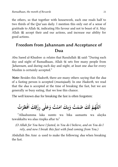the others, so that together with housework, each one reads half to two thirds of the Qur'aan daily. I mention this only out of a sense of gratitude to Allah , indicating His favour and not to boast of it. May Allah  $\frac{160}{125}$  accept their and our actions, and increase our ability for good actions.

# **Freedom from Jahannam and Acceptance of Dua**

Abu Saeed al-Khudree  $\bullet$  relates that Rasulullah  $\mathscr{E}$  said: "During each day and night of Ramadhaan, Allah  $\mathcal{H}$  sets free many people from *Jahannam,* and during each day and night, at least one *dua* for every Muslim is certainly accepted."

*Note:* Besides this *Hadeeth*, there are many others saying that the *dua* of a fasting person is accepted (*mustajaab*). In one *Hadeeth*, we read that the *dua* is accepted at the time of breaking the fast, but we are generally so busy eating, that we lose this chance.

The well known *dua* for breaking the fast is often forgotten:

ى ّٰ ل عَ ت وَ ُ ْ ن ٰامَ بِكَ ت وَ صمْ ُ ُ كَ َ ل َ م ُ ه ّٰ لل َ ت ا ُ رْ طَ ْ ف َ ا قِكَ ْ رِز

"Allaahumma laka sumto wa bika aamantu wa alayka tawakkaltu wa alaa rizqika aftar tu"

*(O Allah for You have I fasted, in You do I believe, and on You do I rely, and now I break this fast with food coming from You.)*

Abdullah Ibn Amr used to make the following *dua* when breaking the fast.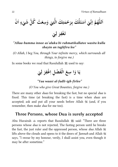ا<br>ا للَّهُمَّ اِنِّيۡ اَسۡئَلُكَ بِرَحۡمَتِكَ الَّتِيۡ وَسِعَتۡ كُلَّ شَيۡءٍ اَنۡ َ ا  $\ddot{\cdot}$ <u>ُ</u>  $\ddot{\cdot}$  $\ddot{\cdot}$ .<br>ا ِ<br>سا .<br>او ِ  $\ddot{\phantom{0}}$ .<br>م .<br>أ ֧֦֧֦֧֦֧֦֧֦֧֦֧֦֧֦֧֦֧֦֧֦֧֝֟֓֝<u>֚֓</u> ֧֦֧֞֝֝<br>֧ׅׅ֦ׅ֦֧֦֧֦֧֦֧֦֧֦֧֦֧֦֧֦֧֦֧֦֧֦֧֦֧֦֧֦֧֦֧֦֧֦֧֝֘֝֘֝<br>֧ׅ֦֧֜֡ ֝֟֟֓֟֓֟֟֟֟֟֟֟֟֟֟׀֟ ا



#### *"Allaa-humma innee as'aluka bi-rahmatikallatee wasita kulla shayin an taghfira lee"*

*(O Allah, I beg You, through Your infinite mercy, which surrounds all things, to forgive me.)*

In some books we read that Rasulullah  $\frac{36}{25}$  used to say:

يَا وَا سِعَ الْفَضْلِ اِغْفِرُ لِيُ ْ َ ٔ<br>
<u>ٔ</u> ِ.<br>ا

*"Yaa waasi al-fadli-igh-firlee"* 

*(O You who give Great Bounties, forgive me.)*

There are many other *duas* for breaking the fast, but no special *dua* is fixed. This time (at breaking the fast) is a time when *duas* are accepted; ask and put all your needs before Allah  $\mathcal{K}$  (and, if you remember, then make *dua* for me too).

# **Three Persons, whose Dua is surely accepted**

Abu Hurairah  $\triangleq$  reports that Rasulullah  $\triangleq$  said: "There are three persons whose *dua* is not rejected, The fasting person until he breaks the fast, the just ruler and the oppressed person, whose *dua* Allah lifts above the clouds and opens to it the doors of *Jannah* and Allah says, "I swear by my honour, verily, I shall assist you, even though it may be after sometime."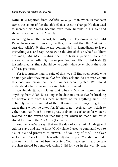**Note:** It is reported from *Aa'isha* that, when Ramadhaan came, the colour of Rasulullah's  $\mathcal{L}$  face used to change. He then used to increase his *Salaah*, become even more humble in his *dua* and show even more fear of Allah ...

According to another report, he hardly ever lay down in bed until Ramadhaan came to an end, Further, it is said that the *Malaaikah* carrying Allah's throne are commanded in Ramadhaan to leave everything else and say '*Aameen*' to the *dua* of those who fast. There are many *Ahaadeeth* stating that the fasting person's *dua*s are answered. When Allah  $\frac{100}{100}$  has so promised and His truthful Nabi  $\frac{100}{100}$ has informed us, there should be no doubt whatsoever about the truth of these promises.

Yet it is strange that, in spite of this, we still find such people who do not get what they make *dua* for. They ask and do not receive, but this does not mean that their *dua* has been rejected. We should understand what is meant by a *dua* being answered.

Rasulullah **ﷺ** has told us that when a Muslim makes *dua* for anything from Allah , as long as he does not make *dua* for breaking off relationship from his near relatives or for anything sinful, he definitely receives one out of the following three things: he gets the exact thing which he asked for. If that is not received, then Allah either removes from him some great problem in exchange for what he wanted, or the reward for that thing for which he made *dua* for is stored for him in the *Aakhirah* (Hereafter).

Another *Hadeeth* says that on the day of *Qiyamah*, Allah  $\frac{1}{26}$  will call his slave and say to him: "O My slave, I used to command you to ask of Me and promised to answer. Did you beg of Me?" The slave will answer: "Yes I did." Then Allah  $\frac{m}{n}$  shall reply: "You did not make any *dua* which has not been accepted. You made *dua* that a certain problem should be removed, which I did for you in the worldly life.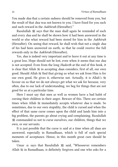You made *dua* that a certain sadness should be removed from you, but the result of that *dua* was not known to you. I have fixed for you such and such reward in the *Aakhirah* (Hereafter)."

Rasulullah ﷺ says that the man shall again be reminded of each and every *dua* and he shall be shown how it had been answered in the world or else what reward had been stored for him in the *Aakhirah* (Hereafter). On seeing that reward, he shall wish that not a single *dua* of his had been answered on earth, so that he could receive the full rewards only in the *Aakhirah* (Hereafter).

Yes, *dua* is indeed very important and to leave it out at any time is a great loss. Hope should not be lost, even when it seems that our *dua* is not accepted. Even from the long *Hadeeth* at the end of this book, it is clear that Allah  $\mathcal G$  in accepting *dua*s considers, first of all, our own good. Should Allah find that giving us what we ask from Him is for our own good, He gives it, otherwise not. Actually, it is Allah's favour on us that we do not always get what we ask for because, very often, due to our lack of understanding, we beg for things that are not good for us at a particular time.

Here I must say that men as well as women have a bad habit of cursing their children in their anger. Beware of this. There are certain times when Allah  $\frac{1}{100}$  immediately accepts whatever *dua* is made. So sometimes, due to our own stupidity, the child is cursed and when the effect of that same curse comes upon the child and lands him into a big problem, the parents go about crying and complaining. Rasulullah **變 commanded us not to curse ourselves, our children, things that we** own, or our servants.

It is just possible that the curse is said at a time when all *duas* are answered, especially in Ramadhaan, which is full of such special moments of acceptance. Hence, in this month great care should be taken.

Umar  $\triangleq$  says that Rasulullah  $\triangleq$  said, "Whosoever remembers Allah  $\mathcal{H}$  in Ramadhaan, is definitely forgiven and one who asks for a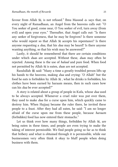favour from Allah , is not refused." Ibnu Masood  $\triangleq$  says that, on every night of Ramadhaan, an Angel from the heavens calls out: "O You seeker of good, come near, O You seeker of evil, turn away (from evil) and open your eyes." Thereafter, that Angel calls out: "Is there any seeker of forgiveness, that he may be forgiven? Is there someone who would repent so that Allah  $\frac{100}{100}$  accepts his repentance? Is there anyone requesting a *dua*, that his *dua* may be heard? Is there anyone wanting anything, so that his wish may be answered?"

Lastly, it should be remembered that there are certain conditions under which *dua*s are accepted. Without these, *dua*s may often be rejected. Among these is the use of *halaal* and pure food. When food not permitted by Allah is eaten, *dua*s are not accepted.

Rasulullah  $\mathcal{L}$  said: "Many a time a greatly troubled person lifts up his hands to the heavens, making *dua* and crying: 'O Allah!' but the food he eats is forbidden by Allah  $\frac{100}{100}$ , what he drinks is forbidden, his clothes have been earned by haraam means, then in such cases how can his *dua* be ever accepted?"

A story is related about a group of people in Kufa, whose *dua* used to be always accepted. Whenever a cruel ruler was put over them, they used to make *dua* for a curse upon him, which quickly came to destroy him. When Hajjaaj became the ruler there, he invited these people to a feast. After they had all eaten, he said: "I am no longer afraid of the curse upon me from these people, because *haraam* (forbidden) food has now entered their stomachs."

Let us think over how many things, forbidden by Allah  $\frac{100}{100}$ , are being eaten in these times, and people are even trying to make the taking of interest permissible. We find people going so far as to think that bribery and what is obtained through it is permissible, while our businessmen very often think it okay to bluff people when doing business with them.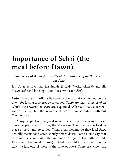# **Importance of Sehri (the meal before Dawn)**

#### *The mercy of Allah and His Malaaikah are upon those who eat Sehri*

Ibn Umar  $*$  says that, Rasulullah  $*$  said: "Verily Allah  $*$  and His *Malaaikah* send blessings upon those who eat *Sehri*".

**Note:** How great is Allah's favour upon us that even eating before dawn for fasting is so greatly rewarded. There are many *Ahaadeeth* in which the rewards of *sehri* are explained. Allama Ainee, a famous Aalim, has quoted the rewards of *sehri* from seventeen different *Sahaabah* .

Many people lose this great reward because of their own laziness. Some people, after finishing the *Taraweeh Salaat*, eat some food in place of *sehri* and go to bed. What great blessing do they lose! *Sehri* actually means food eaten shortly before dawn. Some ulema say that the time for *sehri* starts after midnight *(Mirqaat)*. The author of Al-Kashshaaf (Az-Zamakhsharee) divided the night into six parts, saying that the last one of these is the time of *sehri*. Therefore, when the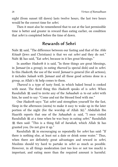night (from sunset till dawn) lasts twelve hours, the last two hours would be the correct time for *sehri*.

Then it must also be remembered that to eat at the last permissible time is better and greater in reward than eating earlier, on condition that *sehri* is completed before the time of dawn.

### **Rewards of Sehri**

Nabi  $*$  said, "The difference between our fasting and that of the *Ahle Kitaab* (Jews and Christians) is that we eat *sehri* and they do not." has said, "Eat *sehri*, because in it lies great blessings."

In another *Hadeeth* it is said, "In three things are great blessings, in *Jamaat* (in a group), in eating *thareed* (a special dish) and in *sehri*. In this *Hadeeth*, the use of the word *Jamaat* is general (for all actions), it includes *Salaah* with *Jamaat* and all those good actions done in a group, as Allah's help comes to them.

*Thareed* is a type of tasty food, in which baked bread is cooked with meat. The third thing this *Hadeeth* speaks of is *sehri*. When Rasulullah j used to invite any of the *Sahaabah* to eat *sehri* with him, he used to say: "Come and eat the blessed food with me."

One *Hadeeth* says: "Eat *sehri* and strengthen yourself for the fast, Sleep in the afternoon (siesta) to make it easy to wake up in the later portion of the night (for the worship of Allah 35)." Abdullah Ibn Haarith reports that one of the *Sahaabah*  $\triangleq$  said, "I once visited Rasulullah  $\frac{160}{25}$  at a time when he was busy in eating *sehri*." Rasulullah **選 then said: "This is a thing full of** *barakah***, which Allah <sup>3</sup> has** granted you. Do not give it up."

f Rasulullah  $\ddot{\mathcal{Z}}$  in encouraging us repeatedly for *sehri* has said: "If there is nothing else, at least eat a date or drink some water." Thus, when there are definitely great advantages and reward in *sehri*, Muslims should try hard to partake in *sehri* as much as possible. However, in all things moderation (not too less or not too much) is important, and eating more than the required amount is harmful.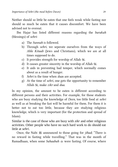Neither should so little be eaten that one feels weak while fasting nor should so much be eaten that it causes discomfort. We have been advised not to overeat.

Ibn Hajar has listed different reasons regarding the *barakah* (blessings) of *sehri*:

- a) The *Sunnah* is followed.
- b) Through *sehri*, we seperate ourselves from the ways of *Ahle Kitaab* (Jews and Christians), which we are at all times supposed to do.
- c) It provides strength for worship of Allah  $\ddot{\mathscr{E}}$ .
- d) It causes greater sincerity in the worship of Allah  $\ddot{\mathscr{E}}$ .
- e) It aids in preventing bad temper, which normally comes about as a result of hunger.
- f) *Sehri* is the time when *dua*s are accepted.
- g) At the time of *sehri*, one gets the opportunity to remember Allah , make *zikr* and *dua*.

In my opinion, the amount to be eaten is different according to different persons and their activities. For example, for those students who are busy studying the knowledge of *Deen*, too little food at *sehri* as well as at breaking the fast will be harmful for them. For them it is better not to eat too little, because they are studying religious knowledge, which is very important (for the protection and spread of Islam).

Similar is the case of those who are busy with *zikr* and other religious activities. Other people who have no such hard work to do should eat little at *sehri*.

Once, the Nabi  $\frac{1}{25}$  announced to those going for *jihad*; "There is no reward in fasting while travelling." That was in the month of Ramadhaan, when some *Sahaabah* were fasting. Of course, where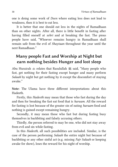one is doing some work of *Deen* where eating less does not lead to weakness, then it is best to eat less.

It is better that one should eat less in the nights of Ramadhaan than on other nights. After all, there is little benefit in fasting after having filled oneself at *sehri* and at breaking the fast. The pious people have said, "Whoever remains hungry in Ramadhaan shall remain safe from the evil of *Shaytaan* throughout the year until the next Ramadhaan."

# **Many people Fast and Worship at Night but earn nothing besides Hunger and lost sleep**

Abu Hurairah  $\triangleq$  relates that Rasulullah  $\triangleq$  said, "Many people who fast, get nothing for their fasting except hunger and many perform *Salaah* by night but get nothing by it except the discomfort of staying awake."

**Note:** The Ulama have three different interpretations about this Hadeeth.

Firstly, this *Hadeeth* may mean that those who fast during the day and then for breaking the fast eat food that is *haraam*. All the reward for fasting is lost because of the greater sin of eating *haraam* food and nothing is gained except remaining hungry.

Secondly, it may mean those who fast but during fasting busy themselves in backbiting and falsely accusing others.

Thirdly, the person referred to may be one, who did not stay away from evil and sin while fasting.

In this *Hadeeth*, all such possibilities are included. Similar, is the case of the person performing *Salaah* the entire night but because of backbiting or any other sinful act (e.g. missing *Fajr Salaah* or keeping awake for show), loses the reward for his night of worship.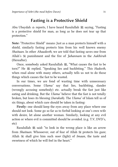### **Fasting is a Protective Shield**

Abu Ubaydah  $\triangleq$  reports, I have heard Rasulullah  $\triangleq$  saying, "Fasting is a protective shield for man, as long as he does not tear up that protection."

**Note:** "Protective Shield" means: Just as a man protects himself with a shield, similarly fasting protects him from his well known enemy *Shaitaan*. In other *Ahaadeeth*, we are told that fasting saves one from Allah's punishment and the fire of *Jahannam* in the *Aakhirah* (Hereafter).

Once, somebody asked Rasulullah  $\ddot{\mathfrak{B}}$ , "What causes the fast to be torn?" He  $*$  replied, "Speaking lies and backbiting." This *Hadeeth*, when read alone with many others, actually tells us not to do those things which causes the fast to be wasted.

In our times, we are fond of wasting time with unnecessary conversations. Some *Ulama'* say that lies, backbiting, slander (wrongly accusing somebody) etc. actually break the fast just like eating and drinking. But the *Ulama'* believe that the fast is not totally broken, but loses its blessing (*barakah*). The *Ulama'* of Islam tell us of six things, about which care should be taken in fasting:

**Firstly:** one should keep the eyes away from any place where one should not look. Some go so far as to forbid looking at one's own wife with desire, let alone another woman. Similarly, looking at any evil action or where evil is committed should be avoided. (e.g. T.V, DVD's, etc)

Rasulullah ﷺ said: "to look in the wrong place is like an arrow from *Shaitaan*. Whosoever, out of fear of Allah  $\frac{1}{100}$  protects his gaze; Allah  $\frac{200}{200}$  shall give him such *noor* (light) of *Imaan*, the taste and sweetness of which he will feel in the heart."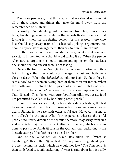The pious people say that this means that we should not look at all at those places and things that take the mind away from the remembrance of Allah ...

Secondly: One should guard the tongue from lies, unnecessary talks, backbiting, arguments, etc. In the Saheeh Bukhari we read that fasting is a shield for the fasting person, for this reason, those who fast should stay away from all useless talk, joking, arguments, etc. Should anyone start an argument, then say to him, "I am fasting."

In other words, one should not start an argument and if someone else starts it, then too, one should avoid taking it up. When the person who starts an argument is not an understanding person, then at least one should remind oneself that: "I am fasting."

During the time of our Nabi  $\frac{100}{25}$ , two women were fasting and they felt so hungry that they could not manage the fast and both were close to death. When the *Sahaabah*  $\triangleq$  told our Nabi  $\triangleq$  about this, he sent a bowl to the women asking both of them to vomit into it. When they both vomited into the bowl, pieces of meat and fresh blood were found in it. The *Sahaabah* were greatly surprised, upon which our Nabi  $\mathscr{E}$  said: "They fasted with pure food from Allah  $\mathscr{E}$ , but ate food not permitted by Allah  $\mathcal{H}$  by backbiting other people."

From the above we see that, by backbiting during fasting, the fast becomes more difficult. For this reason both women were close to death. Similar is the case with other sinful acts. However, fasting is not difficult for the pious Allah-fearing persons, whereas the sinful people find it very difficult. One should therefore, stay away from sins and especially major sins like backbiting and slander, which are often done to pass time. Allah  $\frac{1}{2}$  says in the Qur'aan that backbiting is the (actual) eating of the flesh of one's dead brother.

One of the *Sahaabah*  $\triangleq$  asked Rasulullah 選. "What is backbiting?" Rasulullah ﷺ replied: "To say something about your brother, behind his back, which he would not like." The *Sahaabah* then said: "And is it still backbiting if what is said about him is really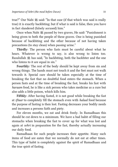true?" Our Nabi ﷺ said: "In that case (if that which was said is really true) it is exactly backbiting; but if what is said is false, then you have in fact slandered (falsely accused) him."

Once when Nabi  $\frac{1}{25}$  passed by two graves, He said: "Punishment is being given to both the people of these graves. One is being punished because of backbiting and the other because of not having taken precautions (to stay clean) when passing urine."

**Thirdly:** The person who fasts must be careful about what he hears. Whatever is wrong to say, is also wrong to listen too. Rasulullah  $\frac{160}{25}$  has said, "In backbiting, both the backbiter and the one who listens to it are equal in sin."

**Fourthly:** The rest of the body should be kept away from sin and wrong things. The hands must not touch it and the feet must not walk towards it. Special care should be taken especially at the time of breaking the fast that no doubtful food enters the stomach. When a person fasts and at the time of breaking the fast, breaks his fast with *haraam* food, he is like a sick person who takes medicine as a cure but also adds a little poison, which kills him.

**Fifthly:** After having fasted, it is not good while breaking the fast at *iftaar* to completely fill the stomach even with *halaal* food because the purpose of fasting is then lost. Fasting decreases your bodily needs and increases a persons faith and piety.

For eleven months, we eat and drink freely. In Ramadhaan this should be cut down to a minimum. We have a bad habit of filling our stomachs when breaking the fast to cover up for what was lost and again at *sehri* in preparation for the fast, thereby actually increasing our daily food.

Ramadhaan for such people increases their appetite. Many such items of food are eaten that we normally do not eat at other times. This type of habit is completely against the spirit of Ramadhaan and the true spirit of fasting.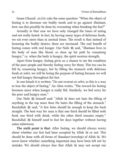Imam Ghazali asks the same question: "When the object of fasting is to decrease our bodily needs and to go against *Shaitaan*, how can this possibly be done by overeating when breaking the fast?"

Actually in that case we have only changed the times of eating and not really fasted. In fact, by having many types of delicious foods, we eat even more than in normal times. The result is that instead of lessening the bodily desires, these are increased. The real benefit of fasting comes with real hunger. Our Nabi *这* said, "*Shaitaan* lives in the body of man like blood, so close up his path by remaining hungry," i.e. when the body is hungry, the spirit receives strength.

Apart from hunger, fasting gives us a chance to see the condition of the poor people and thereby feeling sorry for them. This too can be felt by remaining hungry, but by filling the stomach with delicious foods at *sehri*, we will be losing the purpose of fasting because we will not feel hungry throughout the fast.

In one kitaab it is written: "Do not overeat at *sehri*, as this is a way to lose the object of fasting." An Alim writes, "The reward for fasting becomes more when hunger is really felt. Similarly, we feel sorry for the poor and hungry ones."

Our Nabi  $\frac{160}{25}$  himself said: "Allah  $\frac{160}{25}$  does not hate the filling of anything to the top more than He hates the filling of the stomach." Rasulullah  $*$  said, "A few bites should be enough to keep the back straight. The best way for man is that one third should be filled with food, one third with drink, while the other third remains empty." Rasulullah  $\frac{160}{25}$  himself used to fast for days together without having eaten inbetween.

**The sixth point is that:** After fasting, we should always worry about whether our fast had been accepted by Allah  $\mathbb K$  or not. This should be done with all forms of *ibaadaat* (worship) of Allah . We never know whether something important may have been left out by mistake. We should always fear that Allah  $\frac{100}{100}$  may not accept our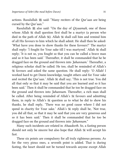actions. Rasulullah ﷺ said: "Many reciters of the Qur'aan are being cursed by the Qur'aan."

Rasulullah  $\ddot{\mathfrak{B}}$  also said: "On the day of *Qiyaamah*, one of those whom Allah  $\frac{1}{2}$  shall question first shall be a martyr (a person who died in the path of Allah (i). Allah  $\frac{100}{100}$  shall call him and remind him of all His favours to him which he shall admit. He shall then be asked: 'What have you done to show thanks for these favours?' The martyr shall reply: 'I fought for Your sake till I was martyred.' Allah  $\frac{12}{36}$  shall reply; 'It is not so, you fought so that you can be called a brave man and so it has been said.' Thereafter, it shall be commanded that he be dragged face on the ground and thrown into *Jahannam*.' Thereafter, a religious scholar shall be called. He too, shall be reminded of Allah's favours and asked the same question. He shall reply: 'O Allah! I worked hard to get Deeni knowledge, taught others and for Your sake and recited the Qur'aan.' Allah  $\frac{100}{1000}$  shall say; 'This is not true. You did all that only so that it may be said that you are learned and so it has been said.' Then it shall be commanded that he too be dragged face on the ground and thrown into *Jahannam*. Thereafter, a rich man shall be called. After being reminded of Allah's  $\frac{1}{26}$  favours and admitting them, in reply to Allah's question as to what he did to show his thanks, he shall reply, 'There was no good cause where I did not spend in charity for Your sake.' Allah's  $\frac{m}{m}$  reply shall be, 'Not true, you did all that, so that it may be said that you are very generous and so it has been said.' Then it shall be commanded that he too be dragged face on the ground and thrown into *Jahannam*."

Many such incidents are related in *Ahaadeeth*. So, a fasting person should not only be sincere but also hope that Allah  $\mathcal{H}$  will accept his fast.

These six points are compulsory for all truly righteous persons. As for the very pious ones, a seventh point is added. That is during fasting, the heart should not be turned towards anyone except Allah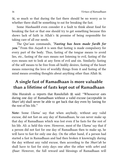, so much so that during the fast there should be no worry as to whether there shall be something to eat for breaking the fast.

Some *Mashaaikh* even consider it a fault to think about food for breaking the fast or that one should try to get something because this shows lack of faith in Allah's  $\frac{100}{200}$  promise of being responsible for taking care of all our needs.

The Qur'aan commands, *"Fasting has been made fardh for you."* From this *Aayah* it is seen that fasting is made compulsory for every part of the body. Thus, fasting of the tongue means to avoid lies, etc., fasting of the ears means not listening to evil, fasting of the eyes means not to look at any form of evil and sin. Similarly; fasting of the self means to be free from all bodily desires, fasting of the heart means removing the love of worldly things from it and fasting of the mind means avoiding thoughts about anything other than Allah  $\mathcal{H}$ .

# **A single fast of Ramadhaan is more valuable than a lifetime of fasts kept out of Ramadhaan**

Abu Hurairah  $\triangleq$  reports that Rasulullah  $\triangleq$  said: "Whosoever eats during one day of Ramadhaan without a valid excuse (acceptable in *Shari'ah*) shall never be able to get back that day even by fasting for the rest of his life."

**Note:** Some *Ulama'* say that when anybody, without any valid excuse, did not fast on any day of Ramadhaan, he can never make up that day of Ramadhaan which was lost even if he fasts for the rest of his life. Ali held this view. However, most of the *Ulama'* say that if a person did not fast for one day of Ramadhaan then to make up, he will have to fast for only one day. On the other hand, if a person had started a fast in Ramadhaan and had then broken it knowingly during the day without any valid excuse, then according to the *Shari'ah* he shall have to fast for sixty days one after the other with *sehri* and *iftaar*. However, the full reward and blessings of Ramadhaan will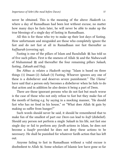never be obtained. This is the meaning of the above *Hadeeth* i.e. where a day of Ramadhaan had been lost without excuse, no matter how many days he fasts later, he will never be able to make up the true blessings of a single day of fasting in Ramadhaan.

All this is for those who try to make up their lost days of fasting. How unfortunate and misguided are those who completely ignore the fast and do not fast at all in Ramadhaan nor fast thereafter as *kaffaarah* (covering up).

Fasting is one of the pillars of Islam and Rasulullah 25 has told us of five such pillars. First is the oneness of Allah  $\frac{m}{m}$  and the *Nubuwwah* of Muhammad  $\ddot{\mathcal{Z}}$  and thereafter the four remaining pillars *Salaah*, fasting, *Zakaah* and Hajj.

Ibn Abbas relates a *Hadeeth* saying: "Islam is based on three things (1) *Imaan* (2) *Salaah* (3) Fasting. Whoever ignores any one of these is a disbeliever and deserves severe punishment." The *Ulama'* have said that a person only becomes a disbeliever when he fails to do that action and in addition he also denies it being a part of Deen.

There are those ignorant persons who do not fast but much worse is the case of those who not only refuse to fast but they make fun of the month of fasting e.g. by saying in a mocking manner, "He should fast who has no food in his house," or "What does Allah  $\frac{1}{100}$  gain by making us suffer from hunger?"

Such words should never be said, it should be remembered that to make fun of the smallest of part our *Deen* can lead to *kufr* (disbelief). Should any person not perform a single *Salaah* in his life, not fast one single day or fail to perform any *fardh* actions in Islam, he does not become a *kaafir* provided he does not deny these actions to be necessary. He shall be punished for whatever fardh action that has left out.

Anyone failing to fast in Ramadhaan without a valid excuse is disobedient to Allah . Some scholars of Islamic law have gone so far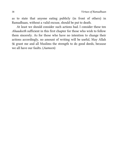as to state that anyone eating publicly (in front of others) in Ramadhaan, without a valid excuse, should be put to death.

At least we should consider such actions bad. I consider these ten *Ahaadeeth* sufficient in this first chapter for those who wish to follow them sincerely. As for those who have no intention to change their actions accordingly, no amount of writing will be useful, May Allah grant me and all Muslims the strength to do good deeds, because we all have our faults. (*Aameen*)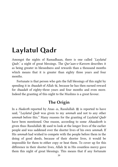# **Laylatul Qadr**

Amongst the nights of Ramadhaan, there is one called '*Laylatul Qadr*,' a night of great blessings. The *Qur'aan-e-Kareem* describes it as being greater in blessedness and rewards than a thousand months which means that it is greater than eighty three years and four months.

Fortunate is that person who gets the full blessings of this night by spending it in *ibaadah* of Allah , because he has then earned reward for *ibaadah* of eighty-three years and four months and even more. Indeed the granting of this night to the Muslims is a great favour.

### **The Origin**

In a *Hadeeth* reported by Anas  $\clubsuit$ , Rasulullah  $\clubsuit$  is reported to have said, "*Laylatul Qadr* was given to my *ummah* and not to any other *ummah* before this." Many reasons for the granting of *Laylatul Qadr* have been mentioned. One reason, according to some *Ahaadeeth* is given thus: Rasulullah  $\frac{100}{200}$  used to look at the longer lives of the earlier people and was saddened over the shorter lives of his own *ummah*. If His *ummah* had wished to compete with the people before them in the doing of good deeds, because of their shorter lives, it would be impossible for them to either copy or beat them. To cover up for this difference in their shorter lives, Allah  $\frac{m}{m}$  in His countless mercy gave them this night of great blessings. This means that if any fortunate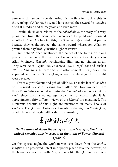person of this *ummah* spends during his life time ten such nights in the worship of Allah , he would have earned the reward for *ibaadah* of eight hundred and thirty years and even more.

Rasulullah  $\frac{m}{25}$  once related to the *Sahaabah*  $\frac{m}{25}$  the story of a very pious man from the Bani Israel, who used to spend one thousand months in *jihad*. On hearing this, the *Sahaabah*  $\triangleq$  envied that person because they could not get the same reward whereupon Allah granted them *Laylatul Qadr* (the Night of Power).

Our Nabi  $\frac{1}{25}$  once mentioned the names of the four most pious people from amongst the Bani Israel who each spent eighty years in Allah  $\ddot{\mathcal{R}}$  sincere *ibaadah*, worshipping Him, and not sinning at all. They were Nabi Ayyub  $\mathbb{Z}$  , Zakariyya  $\mathbb{Z}$ , Hizqeel  $\mathbb{Z}$  and Yushaa . The *Sahaabah* heard this with astonishment. Then Jibraeel appeared and recited *Surah Qadr*, where the blessings of this night were revealed.

This is a great favour and gift of Allah . To make lots of *ibaadah* on this night is also a blessing from Allah , How wonderful are those Pious Saints who did not miss the *ibaadah* of even one *Laylatul Qadr* since from a young age. Now, as to which night it is, approximately fifty different views of the *Ulama'* are mentioned. The numerous benefits of this night are mentioned in many books of *Hadeeth*. The Qur'aan *Majeed* itself mentions the night in *Surah Qadr*, of which we shall begin with a short commentary.

#### اِنَّا اَذُ , ن ِ ن  $\mathbf{I}$ ْ ل .<br>ب ْزَلۡنٰٰٓهُ فِىۡ لَیۡلَٰٓةِ الۡقَدۡرِ ْ َّد ق ْ الْقَدْرِ ۞

#### *(In the name of Allah the beneficent, the Merciful, We have indeed revealed this (message) in the night of Power. (Suratul Qadr: 1)*

On this special night, the Qur'aan was sent down from the *lowhul mahfuz* (The preserved Tablet in a special place above the heavens) to the heavens above the earth. A great book like the *Qur'aan-e-kareem*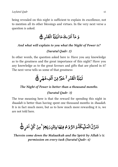being revealed on this night is sufficient to explain its excellence, not to mention all its other blessings and virtues. In the very next verse a question is asked.

**Contract Contract Contract Contract Contract Contract Contract Contract Contract Contract Contract Contract Co** َّ وِ ِ .<br>س ا َّ مَآ اَدًرٰىكَ مَالَيۡ  $\overline{\phantom{a}}$ لَّٰیَ مَا لَیۡلَۃُ الۡقَدۡرِ ِ ْ َّد ق ْ الْقَدْرِ ۞

### *And what will explain to you what the Night of Power is? (Suratul Qadr: 2)*

In other words, the question asked here is: Have you any knowledge as to the greatness and the great importance of this night? Have you any knowledge as to the great favours and gifts that are placed in it? The next verse tells us some of that greatness:

#### ِ لَيَّلَةُ الْقَذْرِ ْ َّد ق ْ الۡقَدۡر<sup>ِ لا</sup>ۡ خَیۡرَ ِّهۡ خَیۡرٌ مِّنۡ اَلۡفِ شَهۡ , فِ شَهُ ْ َلَفِ شَهْرٍ ۞

#### *The Night of Power is better than a thousand months.*

#### *(Suratul Qadr: 3)*

The true meaning here is that the reward for spending this night in *ibaadah* is better than having spent one thousand months in *ibaadah*. It is in fact much more, but as to how much more rewarding it is, we are not told here.

**∣** ل َّ م ْ تَنَزَّلَ الْمَلَّدِكَةَ وَ <u>ر</u> وَ الرُّوْمُ  $\overline{\phantom{a}}$ م فِيۡهَا بِاِذۡنِ رَبِّہِم**ۡ** َّ نِر ْ ذَنِ رَبِّهِمْ ۚ مِنۡ كُلِّ اَمۡرِ ﴾

*Therein come down the Malaaikah and the Spirit by Allah's permission on every task (Suratul Qadr: 4)*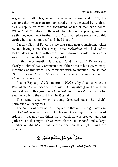A good explanation is given on this verse by Imaam Raazi . He explains that when man first appeared on earth, created by Allah  $\frac{m}{2}$ as His deputy on earth, the *Malaaikah* looked at man with doubt. When Allah  $\mathcal{H}$  informed them of His intention of placing man on earth, they even went further to ask, "Will you place someone on this earth who shall commit evil and shed blood?"

On this Night of Power we see that same man worshipping Allah and loving Him. Those very same *Malaaikah* who had before looked down on him with scorn, come down towards him, clearly sorry for the thoughts they had against him.

In this verse mention is made.... "and the spirit". Reference is clearly to Jibraeel . Commentators of the Qur'aan have given many meanings of this word. The view we wish to mention here is that "Spirit" means Allah's  $\frac{1}{2}$  special mercy which comes when the *Malaaikah* come down.

Imaam Bayhaqi reports a *Hadeeth* by Anas wherein Rasulullah 選 is reported to have said, "On *Laylatul Qadr*, Jibraeel 逃 comes down with a group of *Malaaikah* and makes *dua* of mercy for every one whom they find busy in *ibaadah*."

This same verse which is being discussed says, "By Allah's permission on every task....

The Author of Mazhaairrul Haq writes that on this night ages ago the *Malaaikah* were created. On this night long ago the creation of Adam  $\mathbb{R}$  began as the things from which he was created had been gathered on this night. Trees were planted in *Jannah* and a large number of *Ahaadeeth* state clearly that on this night *dua's* are accepted.

**!** ل َّ سَلَمُ ٰ هِيَ َّ یَ حَقِّی **مَطْ**لَـٰعِ  $\overline{\phantom{a}}$ مَطْلَعِ الْفَجْرِ ْ الْفَجِّرِ ۞

*Peace be until the break of dawn (Suratul Qadr: 5)*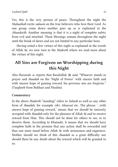Yes, this is the very picture of peace. Throughout the night the *Malaaikah* recite *salaam* on the true believers who love their Lord. As one group come down another goes up as is explained in the *Ahaadeeth*. Another meaning is that it is a night of complete safety from evil and mischief. These blessings remain throughout the night until the break of dawn and are not limited to any particular hour.

Having noted a few virtues of this night as explained in the words of Allah , we now turn to the *Hadeeth* where we read more about the virtues of this night.

# **All Sins are Forgiven on Worshipping during this Night**

Abu Hurairah  $*$  reports that Rasulullah  $*$  said, "Whoever stands in prayer and *ibaadah* on the 'Night of Power' with sincere faith and with sincere hope of gaining reward, his previous sins are forgiven." (Targheeb from Bukhari and Muslim)

#### **Commentary**

In the above *Hadeeth* "standing" refers to *Salaah* as well as any other form of *ibaadah*, for example *zikr*, *tilaawat* etc. The phrase '...with sincere hope of gaining reward,' means that we should be sincerely occupied with *ibaadah* only for the pleasure of Allah  $\frac{1}{20}$  and to receive reward from Him. This should not be done for others to see, or to deceive them. According to Khataabi, it means that we should have complete faith in the promise that any action shall be rewarded and thus one must stand before Allah  $\frac{100}{100}$  with seriousness and eagerness. Neither should we think of this *ibaadah* as a great difficulty nor should there be any doubt about the reward which will be granted to us.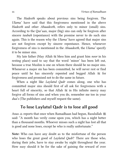The *Hadeeth* speaks about previous sins being forgiven. The *Ulama'* have said that this forgiveness mentioned in the above *Hadeeth* and other *Ahaadeeth*, refers only to minor (small) sins. According to the Qur'aan, major (big) sins can only be forgiven after sincere *taubah* (repentance) with the promise never to do such sins again. This is the reason why the *Ulama'* have agreed that major sins are not forgiven except by sincere repentance. Hence, whenever forgiveness of sins is mentioned in the *Ahaadeeth*, the *Ulama'* specify it to be minor sins.

My late father (May Allah  $\frac{1}{100}$  bless him and grant him *noor* in his resting place) used to say that the word 'minor' has been left out, because a true Muslim is one on whom there should be no major sins. Whenever a major sin has been committed, he will never rest or find peace until he has sincerely repented and begged Allah  $\frac{125}{150}$  for forgiveness and promised not to do the same in future.

When a night like *Laylatul Qadr* comes along, one who has committed major sins should first of all ask for forgiveness with a heart full of sincerity, so that Allah  $\frac{1}{2}$  in His infinite mercy may forgive all forms of sins and when you do, remember me too in your *dua*'s (The publishers and myself request the same).

# **To lose Laylatul Qadr is to lose all good**

Anas  $\triangleq$  reports that once when Ramadhaan had begun, Rasulullah  $\triangleq$ said: "A month has verily come upon you, which has a night better than a thousand months. Whoever misses such a night has lost all that is good and none loses, except he who is really unfortunate."

**Note:** Who can have any doubt as to the misfortune of the person who loses the great good of *Laylatul Qadr*? There are those who, during their jobs, have to stay awake by night throughout the year. How easy should it be for the sake of gaining the reward of over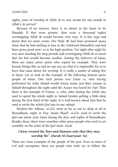eighty years of worship of Allah  $\mathcal{H}$  to stay awake for one month in Allah's  $\ddot{\mathbb{R}}$  service?

Because of no interest, there is no desire in the heart to do *Ibaadah*. If that were present, then even a thousand nights worshipping Allah  $\mathcal{H}$  would become very easy. It is this urge and desire that we must create. Our Nabi  $\frac{36}{25}$  had been promised many times that he had nothing to fear in the *Aakhirah* (Hereafter) and had been given good news as to his high position. Yet night after night he was seen standing for long periods and worshipping Allah  $\frac{16}{100}$  so much that his feet would become swollen. Among the believers of Islam, there are many pious saints who copied his example. They were human beings like us and no one can say that it is impossible for us to have that same desire for worship. It is really a matter of taking this to heart. Let us look at the example of the following famous pious people of Islam. One such person was Umar  $\gg$ , who having performed his *Esha Salaah* would return home and then remain in *Salaah* throughout the night until the *Azaan* was heard for *Fajr*. Then there is the example of Usman  $\triangleq$  who, after fasting the whole day used to spend the whole night in *Salaah* besides getting a little sleep during the first third of the night. It is well known about him that he used to recite the whole Qur'aan in one *rakaat*.

Ibrahim Ibn Adham رَحْمَةُ اللَّهِ عَلَيْهِ went so far as not to sleep at all in Ramadhaan, night or Day. Imam Shaafi رَحْمَةُ اللَّهِ عَلَيْهِ used to recite the Qur'aan about sixty times during the days and nights of Ramadhaan. Besides these, there were countless other pious people who used to act carefully on the order of the Qur'aanic *Ayah*:

#### *I have created the Jinn and Humans only that they may worship Me". (Surah Al-Zaariyaat: 56)*

These are some examples of the people of the past. Even in times of evil and corruption, there are people who truly try to follow the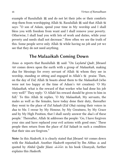example of Rasulullah  $\frac{1}{25}$  and do not let their jobs or their comforts stop them from worshipping Allah , Rasulullah  $\frac{100}{25}$  said that Allah  $\frac{200}{25}$ says: "O son of Adam, spend your time in My worship and I shall bless you with freedom from want and I shall remove your poverty. Otherwise, I shall load you with lots of work and duties, while your poverty and needs shall not decrease." How often we see the truth of this. Some people serve only Allah  $\frac{100}{100}$  while having no job and yet we see that they do not need anything.

## **The Malaaikah Coming Down**

Anas  $\triangleq$  reports that Rasulullah  $\triangleq$  said: "On *Laylatul Qadr*, Jibraeel comes down upon the earth with a group of *Malaaikah*, making dua for blessings for every servant of Allah  $\frac{m}{n}$  whom they see in worship, standing or sitting and engaged in Allah's  $\frac{100}{200}$  praise. Then, on the day of *Eid*, Allah  $\frac{200}{200}$  boasts about them to the *Malaaikah* (who were not too happy at the time of Adam's  $\mathbb{Z}$  creation): 'O My *Malaaikah*, what is the reward of that worker who had done his job very well?' They reply: 'O Allah! his reward should be given to him in full.' To this Allah replies, 'O My *Malaaikah*, My servants, the males as well as the females, have today done their duty, thereafter they went to the place of *Eid Salaah* (*Eid Gha*) raising their voices in *dua* to Me. I swear by My Honour, by My Greatness, by My Grace and by My High Position, that I shall surely answer the *dua*'s of these people.' Thereafter, Allah  $\mathcal{H}$  addresses the people: 'Go, I have forgiven your sins and have replaced your evil actions with good ones.' These people then return from the place of *Eid Salaah* in such a condition that their sins are forgiven."

**Note:** In this *Hadeeth*, it is clearly stated that Jibraeel **Example 18** comes down with the *Malaaikah*. Another *Hadeeth* reported by Ibn Abbas  $\triangleq$  and quoted by Abdul Qadir Jilani المَحَّةُ اللَّهِ عَلَيْهِ in his book Ghunyah, further explains this *Hadeeth*.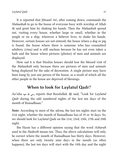It is reported that Jibraeel , after coming down, commands the *Malaaikah* to go to the house of everyone busy with worship of Allah and greet him by shaking his hands. Then the *Malaaikah* spread out, visiting every house, whether large or small, whether in the jungle or on a ship, wherever a believer lives, to shake his hands. However, certain houses are not entered; the house where a dog or pig is found, the house where there is someone who has committed adultery *(zina)* and is still unclean because he has not even taken a bath and the house where pictures (photos) of men and animals are displayed.

How sad it is that Muslim houses should lose the blessed visit of the *Malaaikah* only because there are pictures of men and animals being displayed for the sake of decoration. A single picture may have been hung by just one person of the house, as a result of which all the other people in the house are deprived of blessings.

## **When to look for Laylatul Qadr?**

Aa'isha ارضى الله عنه reports that Rasulullah  $\frac{100}{25}$  said, "Look for *Laylatul Qadr* during the odd numbered nights of the last ten days of the month of Ramadhaan."

**Note:** According to most of the *ulema,* the last ten nights start on the 21st night, whether the month of Ramadhaan has of 29 or 30 days. So, we should look for Laylatul Qadr on the 21st, 23rd, 25th, 27th and 29th night.

Ibn Hazm has a different opinion saying that the word *Asharah* used in the *Hadeeth* means ten. Thus, the above calculations will only be correct where the month of Ramadhaan has thirty days. However, when there are only twenty nine days in the month (as often happens), the last ten days will start with the 19th day and the night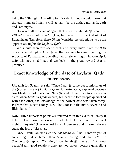being the 20th night. According to this calculation, it would mean that the odd numbered nights will actually be the 20th, 22nd, 24th, 26th and 28th nights.

However, all the *Ulama*' agree that when Rasulullah  $\frac{m}{2}$  went into *i'tikaaf* in search of *Laylatul Qadr*, he started it on the 21st night of Ramadhaan. Therefore, these *Ulama'* consider the odd nights to be the appropriate nights for *Laylatul Qadr*.

We should therefore spend each and every night from the 20th onwards worshipping Allah , so that we may be sure of getting the *barakah* of Ramadhaan. Spending ten or eleven nights in worship is definitely not so difficult, if we look at the great reward that is promised.

# **Exact Knowledge of the date of Laylatul Qadr taken away**

Ubaadah Ibn Saamit  $\bullet$  said, "Once Nabi  $\bullet$  came out to inform us of the (correct date of) *Laylatul Qadr*. Unfortunately, a quarrel between two Muslims took place and Nabi  $\ddot{\mathcal{Z}}$  said, 'I came out to inform you as to when *Laylatul Qadr* occurs, but because two people quarrelled with each other, the knowledge of the correct date was taken away. Perhaps that is better for you. So, look for it in the ninth, seventh and fifth nights."

**Note:** Three important points are referred to in this *Hadeeth*. Firstly it tells us of a quarrel, as a result of which the knowledge of the exact night of *Laylatul Qadr* was lost to us. Arguments and quarrels always cause the loss of blessings.

Once Rasulullah  $\frac{165}{25}$  asked the *Sahaabah*  $\frac{165}{25}$ : "Shall I inform you of something that is better than *Salaah*, fasting and charity?" The *Sahaabah*  $\triangleq$  replied: "Certainly." Rasulullah 2 then said, "Do keep peaceful and good relations amongst yourselves, because quarrelling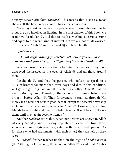destroys (shave off) faith *(Imaan)*." This means that just as a razor shaves off the hair, so does quarrelling affects our *Deen*.

Nowadays besides the worldly people, even those who seem to be pious are also involved in fighting. In the first chapter of this book, we read how Rasulullah  $\mathcal{L}$  said that to insult a Muslim is a serious crime and equal to the worst kind of interest, but we are not at all worried. The orders of Allah  $\mathcal{H}$  and His Rasul  $\mathcal{H}$  are taken lightly.

The Qur'aan says:

#### *"Do not argue among yourselves, otherwise you will lose courage and your strength will go away" (Surah al-Anfaal: 46).*

Those who harm others are actually harming themselves. They have destroyed themselves in the eyes of Allah  $\frac{100}{100}$  and all those around them.

Rasulullah ﷺ said that the person, who refuses to speak to a Muslim brother for more than three days and dies in this condition, will go straight to *Jahannam*. It is stated in another *Hadeeth* that, on every Monday and Thursday, the actions of human beings are brought before Allah . Then forgiveness is granted through His mercy (as a result of certain good deeds), except to those who worship idols and those who join partners to Allah . However, when two friends have a fight and then stop being friends, it will be said, "Leave them until they again become friends."

Another *Hadeeth* states that, when our actions are shown to Allah every Monday and Thursday, repentance is accepted from those who repent and forgiveness is granted to those who seek pardon. As for those who had arguments (with each other) they are left as they were.

A *Hadeeth* further teaches us that, on the night of *Shabe Baraat* (the 15th night of Shabaan), the mercy of Allah  $\frac{1}{100}$  is sent to all Allah's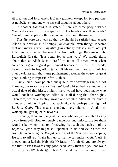**s** creation and forgiveness is freely granted, except for two persons: A nonbeliever and one who has evil thoughts about others.

In another *Hadeeth* it is stated: "There are three people whose *Salaah* does not lift even a span (size of a hand) above their heads." One of these people are those who quarrel among themselves.

This *Hadeeth* also tells us that we should be satisfied and accept Allah's decision in all things. For example, even though it seems that not knowing when *Laylatul Qadr* actually falls is a great loss, yet it has to be accepted because it is from Allah . Because of this, Rasulullah  $\frac{1}{25}$  said. "It is better for us that way." We should think about this, as Allah  $\frac{1}{100}$  is Merciful to us at all times. Even when someone is given a great punishment because of his own evil deeds, he only needs to beg Allah , admit his own evil deeds, admit his own weakness and that same punishment becomes the cause for great good. Nothing is impossible for Allah ...

Our *Ulama'* have pointed out quite a few advantages in our not knowing the exact date for *Laylatul Qadr*. First, had we known the actual date of this blessed night, there would have been many who would not have worshipped Allah  $\mathcal{H}$  at all during the other nights. Therefore, we have to stay awake and worship Allah  $\frac{1}{2}$  for quite a number of nights, hoping that each night is perhaps the night of *Laylatul Qadr*. This means spending more nights in Allah's  $\frac{3\pi}{36}$ worship and getting extra rewards.

Secondly, there are many of us those who are just not able to stay away from evil. How extremely dangerous and unfortunate for them would it be, when, in spite of knowing that such and such a night is *Laylatul Qadr*, they might still spend it in sin and evil? Once the Nabi  $\mathcal{L}$  on entering the *Musjid*, saw one of the *Sahaabah*  $\mathcal{L}$  sleeping, He said to Ali  $\ast$ , "Wake him up so that he can make *wudhu*". Ali  $\ast$ obeyed and asked the Nabi  $\mathcal{L}:$  "O Rasul of Allah  $\mathcal{L}:$  you are always the first to rush towards any good deed. Why then did you not wake him up yourself?" Nabi  $\mathcal{L}$  replied: "I feared that this man may refuse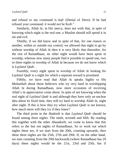and refusal to my command is *kufr* (Denial of *Deen*). If he had refused your command, it would not be Kufr."

Similarly, Allah , in His mercy, does not wish that, in spite of knowing which night is the real one, a Muslim should still spend it in sin and evil.

Thirdly, if we did know and in spite of that, for one reason or another, within or outside our control, we allowed that night to go by without worship of Allah  $\mathcal K$  then it is very likely that thereafter, for the rest of Ramadhaan, no other night would have been spent in worship, whereas now many people find it possible to spend one, two or three nights in worship of Allah  $\frac{1}{2}$  because we do not know which is *Laylatul Qadr*.

Fourthly, every night spent in worship of Allah  $\frac{1}{100}$  looking for *Laylatul Qadr* is a night for which a separate reward is promised.

Fifthly, we have read that Allah  $\frac{1}{100}$  speaks highly to His *Malaaikah* about those believers who try very hard in worshipping Allah  $\frac{1}{20}$  during Ramadhaan, now more occasions of receiving Allah's  $\frac{1}{2}$  appreciation come about. In spite of not knowing when the real night of *Laylatul Qadr* is and although they have only an unclear idea about its fixed time, they still try hard to worship Allah , night after night. If this is how they try when *Laylatul Qadr* is not known, how much more will they try if they knew?

The third point in the *Hadeeth* is that *Laylatul Qadr* should be found among three nights: The ninth, seventh and fifth. By reading this together with the other *Ahaadeeth*, we come to know that this refers to the last ten nights of Ramadhaan. So to work out which nights these are, if we start from the 20th, counting upwards, then these three nights are the 25th, 27th and 29th. If, on the other hand, we start counting from the 29th backwards (where Ramadhaan has 29 days) these nights would be the 21st, 23rd and 25th, but if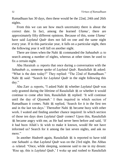Ramadhaan has 30 days, then these would be the 22nd, 24th and 26th nights.

From this we can see how much uncertainty there is about the correct date. In fact, among the learned *Ulama'*, there are approximately fifty different opinions. Because of this, some *Ulama'* have said *Laylatul Qadr* does not fall on one and the same night every year. If in this particular year, it falls on a particular night, then the following year it will fall on another night.

There are times when the Nabi  $\mathcal{L}$  commanded the *Sahaabah*  $\mathcal{L}$  to search among a number of nights, whereas at other times he used to fix a certain night.

Abu Hurairah  $\triangleq$  reports that once during a conversation with the *Sahaabah*  $\triangleq$ , someone spoke of *Laylatul Qadr*. Rasulullah ﷺ asked: "What is the date today?" They replied: "The 22nd of Ramadhaan." Said: "Search for *Laylatul Qadr* in the night following this day."

Abu Zarr  $\triangleq$  reports, "I asked Nabi  $\triangleq$  whether *Laylatul Qadr* was only granted during the lifetime of Rasulullah  $\mathcal{L}$  or whether it would continue to come after him, Rasulullah 2 replied: 'It will continue until the day of *Qiyamah*.' I then inquired in which section of Ramadhaan it comes. Nabi  $\mathcal{L}$  replied, 'Search for it in the first ten and in the last ten days.' Thereafter Nabi  $\frac{160}{100}$  became busy with other work. I waited and finding another chance inquired: In which section of those ten days does *Laylatul Qadr* comes? Upon this, Rasulullah j became angry with me, as He had never been before and said, 'If it had been Allah's wish to make it known, would He not have informed us? Search for it among the last seven nights, and ask no more"

In another *Hadeeth* again, Rasulullah  $\frac{100}{25}$  is reported to have told one *Sahaabi* that *Laylatul Qadr* was on the 23rd night. Ibn Abbas related: "Once, while sleeping, someone said to me in my dream: 'Rise up, this is *Laylatul Qadr*,' I woke up and rushed to Rasulullah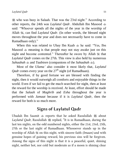j who was busy in Salaah. That was the 23rd night." According to other reports, the 24th was *Laylatul Qadr*. Abdullah Ibn Masood said: "Whoever spends all the nights of the year in the worship of Allah , can find *Laylatul Qadr*. (In other words, the blessed night moves throughout the year and does not necessarily have to come in Ramadhaan only)."

When this was related to Ubay Ibn Kaab he said: "Yes, Ibn Masood  $\triangleq$  meaning is that people may not stay awake just on this night and become contented." Thereafter he swore by Allah . that *Laylatul Qadr* comes on the 27th. This view is also held by numerous *Sahaabah*  $\triangleq$  and *Taabieen* (companions of the *Sahaabah*  $\triangleq$ ).

Most of the *Ulama'* also consider it most likely that, *Laylatul Qadr* comes every year on the  $27<sup>th</sup>$  night (of Ramadhaan).

Therefore, if by good fortune we are blessed with finding the night, then it would outweigh all comforts and enjoyable things in the world. Even if we fail to get the much searched for night, then at least the reward for the worship is received. At least, effort should be made that the *Salaah* of *Maghrib* and *Esha* throughout the year is performed with *Jamaat* because if it is *Laylatul Qadr*, then the reward for both is so much more.

### **Signs of Laylatul Qadr**

Ubadah Ibn Saamit  $*$  reports that he asked Rasulullah  $*$  about *Laylatul Qadr*, Rasulullah ﷺ replied, "It is in Ramadhaan, during the last ten nights, on the odd numbered nights, either the 21st, 23rd, 25th, 27th or the last night of Ramadhaan. Whosoever stands up in the worship of Allah  $\frac{1}{100}$  on this night, with sincere faith *(Imaan)* and with genuine hopes of gaining reward, his previous sins will be forgiven. Among the signs of this night is that it is a peaceful, quiet, shining night, neither hot, nor cold but moderate as if a moon is shining clear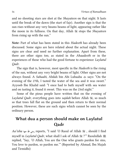and no shooting stars are shot at the *Shayateen* on that night. It lasts until the break of the dawn (the start of fajr). Another sign is that the sun rises without any very beams beams of light, appearing rather like the moon in its fullness. On that day, Allah  $\frac{m}{n}$  stops the *Shayateen* from rising up with the sun."

**Note:** Part of what has been stated in this *Hadeeth* has already been discussed. Some signs are here related about the actual night. These signs are clear and need no further explanation. Apart from these, there are other signs too, as stated in the *Ahaadeeth* or in the experiences of those who had the good fortune to experience *Laylatul Qadr*.

The sign that is, however, most specific in the *Hadeeth* is the rising of the sun, without any very bright beams of light. Other signs are not always found. A *Sahaabi*, Abdah bin Abi Lubaaba  $\ast$  says: "On the evening of the 27th, I tasted the water of the sea and it was sweet." Ayyoob Ibn Khalid said: "I once had to bath myself with sea water and on tasting it, found it sweet. This was on the 23rd night."

Some of the pious people have written that on the evening of *Laylatul Qadr*, everything goes into *sajdah* before Allah , so much so that trees fall flat on the ground and then return to their normal position. However, these are such signs which cannot be seen by the ordinary person.

# **What dua a person should make on Laylatul Qadr**

*Aa'isha* reports, "I said 'O Rasul of Allah , should I find myself in *Laylatul Qadr*, what shall I ask of Allah  $\mathcal{H}$ ?" Rasulullah  $\mathcal{H}$ replied, "Say, 'O Allah, You are the One who grants pardon for sins, You love to pardon, so pardon me.'" (Reported by Ahmad, Ibn Majah and Tirmidhi)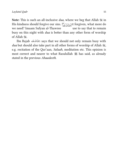**Note:** This is such an all-inclusive *dua*, where we beg that Allah  $\mathcal{L}$  in His kindness should forgive our sins. If we get forgiven, what more do we need? Imaam Sufyan al-Thawree use to say that to remain busy on this night with *dua* is better than any other form of worship of Allah .

Ibn Rajab says that we should not only remain busy with *dua* but should also take part in all other forms of worship of Allah  $\mathcal{R}$ , e.g. recitation of the Qur'aan, *Salaah*, meditation etc. This opinion is most correct and nearer to what Rasulullah  $\frac{100}{25}$  has said, as already stated in the previous *Ahaadeeth*.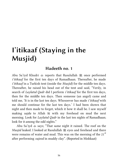# **I'itikaaf (Staying in the Musjid)**

### **Hadeeth no. 1**

Abu Sa'iyd Khudri  $\ast$  reports that Rasulullah  $\ast$  once performed *i'itikaaf* for the first ten days of Ramadhaan. Thereafter, he made *i'itikaaf* in a Turkish tent (inside the *Musjid*) for the middle ten days. Thereafter, he raised his head out of the tent and said, "Verily, in search of *Laylatul Qadr* did I perform *i'itikaaf* for the first ten days, then for the middle ten days. Then someone (an angel) came and told me, 'It is in the last ten days. Whosoever has made *i'itikaaf* with me should continue for the last ten days.' I had been shown that night and then made to forget, which it how it shall be. I saw myself making *sajda* to Allah  $\frac{200}{300}$  with my forehead on mud the next morning. Look for *Laylatul Qadr* in the last ten nights of Ramadhaan; look for it among the odd nights."

Abu Sa'iyd says; "That same night it rained. The roof on the *Musjid* leaked. I looked at Rasulullah  $\frac{1}{25}$  eyes and forehead and there were remains of water and mud. This was on the morning of the  $21<sup>st</sup>$ after performing *sujood* in muddy clay". (Reported in Mishkaat)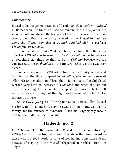#### **Commentary**

It used to be the general practice of Rasulullah  $\frac{1}{25}$  to perform *i'itikaaf* in Ramadhaan. At times he used to remain in the *Musjid* for the whole month and during the last year of his life he was in *i'itikaaf* for twenty days. Because he always stayed in the *Musjid* for last ten days, the *Ulama'* say that it *sunnah-e-mu'akkadah* to perform *i'itikaaf* in last ten days.

From the above *Hadeeth* it can be understood that the main object of *i'itikaaf* was to search for *Laylatul Qadr*. What better way of searching can there be than to be in *i'itikaaf*, because we are considered to be in *ibaadah* all the time, whether we are awake or asleep.

Furthermore, one in *i'itikaaf* is free from all daily works and thus has all the time to spend in *zikrullah*, (the remembrance of Allah (第) and meditation. Throughout Ramadhaan, Rasulullah worked very hard at increased his *ibaadah* and when the last ten days came along, he had no limit in pushing himself. He himself remained awake throughout the night and awakened his family for the same purpose.

Aa'isha رضى الله عنها reports: "During Ramadhaan, Rasullullah  $\frac{166}{25}$  tied his *lungi* tightly about him, staying awake all night and waking his family (for the purpose of *ibaadah*)." 'Tied his *lungi* tightly means that he spent all his time in *ibaadah.*

### **Hadeeth no. 2**

Ibn Abbas  $\triangleq$  relates that Rasullullah  $\triangleq$  said, "The person performing *i'itikaaf* remains free from sins, and he is given the same reward as those who do good deeds in spite of not having done those deeds because of staying in the *Musjid*." (Reported in Mishkaat from ibn Majah)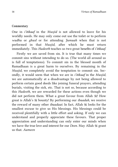#### **Commentary**

One in *i'itikaaf* in the *Musjid* is not allowed to leave for his worldly needs. He may only come out use the toilet or to perform *wudhu* or *ghusl* or for attending *Jumuah* when that is not performed in that *Musjid*, after which he must return immediately. This *Hadeeth* teaches us two great benefits of *i'itikaaf*.

Firstly we are saved from sin. It is true that many times we commit sins without intending to do so. (The world all around us is full of temptations). To commit sin in the blessed month of Ramadhaan is a great harm to ourselves. By remaining in the *Musjid*, we completely avoid the temptation to commit sin. Secondly, it would seem that when we are in *i'itikaaf* in the *Musjid*, we are automatically at a disadvantage by not being allowed to perform certain good deeds like joining funeral prayers, attending burials, visiting the sick, etc. That is not so, because according to this *Hadeeth*, we are rewarded for these actions even though we did not perform them. What a great favour from Allah  $\mathcal{L}$ ! How great is Allah's bounty! By performing our *ibaadah*, we receive the reward of many other *ibaadaat*. In fact, Allah  $\frac{100}{100}$  looks for the smallest excuse to give us His blessings. His blessings could be received plentifully with a little effort and asking. If only we can understand and properly appreciate these favours. That proper appreciation and understanding can only enter our minds when we have the true love and interest for our *Deen*. May Allah grant us that. *Aameen*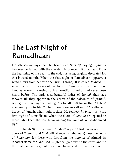# **The Last Night of Ramadhaan**

Ibn Abbaas  $\triangleq$  says that, he heard our Nabi  $\triangleq$  saying, "*Jannah* becomes perfumed with the sweetest fragrance in Ramadhaan. From the beginning of the year till the end, it is being brightly decorated for this blessed month. When the first night of Ramadhaan appears, a wind blows from beneath the *Arsh* (Throne). It is called *Mutheerah*, which causes the leaves of the trees of *Jannah* to rustle and door handles to sound, causing such a beautiful sound as had never been heard before. The dark eyed beautiful ladies of *Jannah* then step forward till they appear in the centre of the balconies of *Jannah*, saying: 'Is there anyone making *dua* to Allah  $\frac{1}{100}$  for us that Allah  $\frac{100}{100}$ may marry us to him?' Then these women call out: 'O Ridhwaan, keeper of Jannah, what night is this?' He replies: '*labbaik*, this is the first night of Ramadhaan, when the doors of *Jannah* are opened to those who keep the fast from among the *ummah* of Muhammad دد عَبَاللهِ<br>مُلِيَّةٍ

Rasulullah  $\mathcal{L}$  further said, Allah  $\mathcal{L}$  says, "O Ridhwaan open the doors of *Jannah*, and O Maalik, (keeper of Jahannam) close the doors of *Jahannam* for those who fast from the *ummah* of Ahmad j (another name for Nabi j), O Jibraeel go down to the earth and tie the evil *Shayaateen*, put them in chains and throw them in the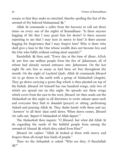oceans so that they make no mischief, thereby spoiling the fast of the ummah of My beloved Muhammad 選."

Allah  $\mathbb R$  commands a caller from the heavens to call out three times on every one of the nights of Ramadhaan: "Is there anyone begging of Me that I may grant him his desire? Is there anyone repenting to me that I may turn in mercy to him? Is there anyone begging for forgiveness that I may forgive him? Who is there who shall give a loan to the One whose wealth does not become less and the One who fulfils without cutting short unjustly?"

Rasulullah  $\mathcal{L}$  then said, "Every day at the time of *iftaar*, Allah sets free one million people from the fire of *Jahannam*, all of whom had already earned entrance into *Jahannam*. On the last night He sets free as many as had been set free throughout the month. On the night of *Laylatul Qadr*, Allah  $\frac{m}{n}$  commands Jibraeel to go down to the earth with a group of *Malaaikah* (Angels). They go down carrying a green flag which is then planted on top of the Kabah. Jibraeel  $\mathbb{R}$  himself has one hundred wings, only two of which are spread out on this night. He spreads out these wings which cover from the east to the west. Jibraeel **see then** sends out the *Malaaikah* on this night in all directions to recite salaam upon each and everyone they find in *ibaadah* (prayer) or sitting, performing *Salaah* and praising Allah . They shake hands with them and say '*Aameen*' to all their *dua*s until dawn. When dawn comes, Jibraeel calls out; 'depart O *Malaaikah* of Allah depart.'"

The *Malaaikah* then inquire: "O Jibraeel, but what did Allah do regarding the needs of the faithful people from among the *ummah* of Ahmad  $\mathcal{L}$  which they asked from Him?"

Jibraeel <a>
set replies: "Allah <a>
set looked at them with mercy and<br/>  $\mu$ forgave them all except four kinds of people."

Then we the *Sahaabah* asked: "Who are they, O Rasulullah ددم عَيَالِلَهِ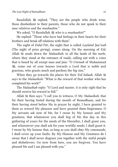Rasulullah  $\frac{46}{25}$  replied, "They are the people who drink wine, those disobedient to their parents, those who do not speak to their near relatives and the *mushaahin*."

We asked, "O Rasulullah  $\mathcal{H}$  who is a *mushaahin*?"

He replied: "Those who have bad feelings in their hearts for their brothers and break off relations with them".

The night of *Eidul Fitr*, the night that is called *Laylatul Jaa'izah* (The night of prize giving), comes along. On the morning of *Eid*, Allah  $\frac{1}{100}$  sends down the *Malaaikah*, to all the lands of the earth, where they stand at the entrance of roads, calling out with a voice that is heard by all except man and jinn: "O *Ummah* of Muhammad **變**, come out of your houses towards a Lord that is noble and gracious, who grants much and pardons the big sins."

When they go towards the places for their *Eid Salaah*, Allah says to the *Malaaikah*: "What is the reward of that worker who has completed his work?"

The *Malaaikah* reply: "O Lord and master, it is only right that he should receive his reward in full."

Allah then says: "I call you to witness, O My *Malaaikah*, that for their having fasted during the month of Ramadhaan, and for their having stood before Me in prayer by night, I have granted to them as reward My pleasure and have granted them forgiveness. O My servants ask now of Me, for I swear by My honour and My greatness, that whatsoever you shall beg of Me this day in this gathering of yours for the needs of the Hereafter, I shall grant you, and whatsoever you shall ask for your worldly needs, I shall grant it. I swear by My honour that, as long as you shall obey My commands, I shall cover up your faults. By My Honour and My Greatness do I swear that I shall never disgrace you together with the sinful people and disbelievers. Go now from here, you are forgiven. You have pleased Me and I am pleased with you."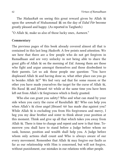The *Malaaikah* on seeing this great reward given by Allah upon the *ummah* of Muhammad  $\frac{100}{200}$  on the day of *Eidul Fitr* become greatly pleased and happy. (As reported in Targheeb.)

"O Allah , make us also of those lucky ones, *Aameen*."

#### **Commentary**

The previous pages of this book already covered almost all that is contained in this last long *Hadeeth*. A few points need attention. We see here that there are a few people who do not get forgiven in Ramadhaan and are very unlucky in not being able to share the great gifts of Allah  $\frac{1}{2}$  on the morning of *Eid*. Among them are those who fight and argue amongst themselves and those disobedient to their parents. Let us ask those people one question: "You have displeased Allah  $\frac{100}{100}$  and having done so, what other place can you go to besides Allah #?" We feel very sad that for some reason or the other you have made yourselves the target for the curse of Allah ,  $\mathcal{E}$ , His Rasul  $\frac{160}{25}$  and Jibraeel  $\frac{1600}{25}$  while at the same time you have been left out from Allah's  $\frac{1}{2}$  forgiveness which is freely granted.

Who else can grant you safety? Who and what can stand by your side when you carry the curse of Rasulullah 選? Who can help you when Allah's  $\mathbb K$  close angel Jibraeel  $\mathbb K$  has made *dua* against you? While Allah  $\frac{1}{2}$  is excluding you from His forgiveness and mercy, I beg you my dear brother and sister to think about your position at this moment. Think and give up all that which takes you away from Allah . There is time to change and repent and now is that time. Tomorrow you shall have to stand before a Judge before whom no rank, honour, position and wealth shall help you. A Judge before whom only actions shall count and Who is always aware of our every movement. Remember that Allah  $\frac{100}{100}$  may forgive our faults as far as our relationship with Him is concerned, but will not forgive, without punishment, our mistakes in our relations with other people.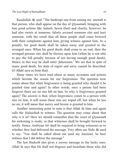Rasulullah j said: "The bankrupt one from among my *ummah* is that person, who shall appear on the day of *Qiyaamah*, bringing with him good actions like *Salaah*, *Sawm* (fast) and charity, however, he had also sworn at someone, falsely accused someone else and hurt someone, with the result that all these people shall come forward with their complaints against him, giving witness against him. As a penalty, his good deeds shall be taken away and granted to the wronged ones. When his good deeds shall come to an end, then the wronged persons sins shall be thrown upon him (when he is not able to pay the full penalty because of not having enough good deeds). Hence, in this way he shall enter *Jahannam*." We see that in spite of many good deeds, his state of regret and sorry cannot be described. (O Allah! save us from that).

Many times we have read about so many occasions and actions which become the reason for our forgiveness. The question now comes about that when forgiveness is being granted why should it be granted time and again? In other words, once a person had been forgiven there are no sins left on him. So why is forgiveness granted again? The answer is that, when forgiveness comes to a person with sins on him, it will mean those sins are wiped off, but when he has no sin, it will mean that mercy and favour is granted to him.

Another interesting point to note is that Allah  $\frac{1}{100}$  time and again calls the *Malaaikah* to witness. The question may come about that why is it so? Here we should remember that the court of *Qiyaamah* for reckoning is ready, so that witnesses shall be brought forward to testify. Hence *Ambiyaa* shall be required to bring witnesses as to whether they had delivered the message. Very often our Nabi  $\mathcal{L}$  used to say, "You shall be asked about me (and my mission). So bear witness that I did deliver the message."

The last *Hadeeth* also gives a joyous message to the lucky ones. Allah  $\frac{200}{100}$  says that He shall not disgrace and humiliate those who did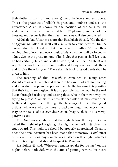their duties in front of (and among) the unbelievers and evil doers. This is the greatness of Allah's grace and kindness and also the importance Allah  $\frac{1}{2}$  shows for the position of the Muslims. In addition for those who wanted Allah's  $\frac{m}{n}$  pleasure, another of His blessing and favour is that their faults and sins will also be covered.

Abdullah ibnu Umar  $\text{L}$  reports that Rasulullah  $\text{L}$  said, "On the day of *Qiyaamah*, Allah  $\frac{200}{100}$  shall call a muslim to come near to Him. A curtain shall be closed so that none may see. Allah  $\frac{125}{15}$  shall then remind him of each and every fault of his which he shall be forced to admit. Seeing the great amount of his faults, that person shall feel that he had certainly failed and shall be destroyed. But then Allah  $\mathcal K$  will say: 'In the world I covered your faults and today too I will hide them and forgive them for you.'" Thereafter his book of good deeds shall be given to him.

The meaning of this *Hadeeth* is contained in many other *Ahaadeeth* as well. We should therefore be careful of not humiliating and attacking the pious people for their faults, because it is possible that their faults are forgiven. It is also possible that we may be the real losers through backbiting and teasing those who in their own way are trying to please Allah  $\ddot{\mathcal{L}}$ . It is possible that Allah  $\ddot{\mathcal{L}}$  may cover their faults and forgive them through the blessings of their other good actions, while we who continue to backbite, laugh and mock them, may be the cause of our own destruction. (May Allah  $\frac{1}{100}$  in His Mercy pardon us all).

This *Hadeeth* also states that the night before the day of *Eid* is called the night of prize giving, the night when Allah gives the true reward. This night too should be properly appreciated. Usually, once the announcement has been made that tomorrow is *Eid*, most of us, even the pious, enjoy ourselves in sleep on this night, whereas this too is a night that should be spent in *ibaadah*.

Rasulullah j said, "Whoever remains awake for *ibaadah* on the nights before both *Eids* with the aim of gaining reward, his heart